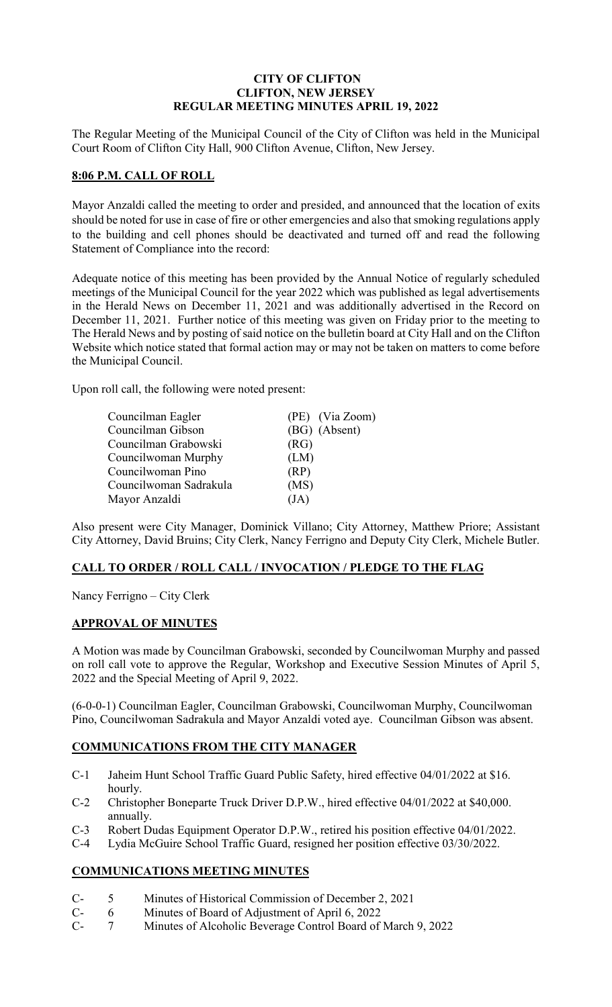# **CITY OF CLIFTON CLIFTON, NEW JERSEY REGULAR MEETING MINUTES APRIL 19, 2022**

The Regular Meeting of the Municipal Council of the City of Clifton was held in the Municipal Court Room of Clifton City Hall, 900 Clifton Avenue, Clifton, New Jersey.

### **8:06 P.M. CALL OF ROLL**

Mayor Anzaldi called the meeting to order and presided, and announced that the location of exits should be noted for use in case of fire or other emergencies and also that smoking regulations apply to the building and cell phones should be deactivated and turned off and read the following Statement of Compliance into the record:

Adequate notice of this meeting has been provided by the Annual Notice of regularly scheduled meetings of the Municipal Council for the year 2022 which was published as legal advertisements in the Herald News on December 11, 2021 and was additionally advertised in the Record on December 11, 2021. Further notice of this meeting was given on Friday prior to the meeting to The Herald News and by posting of said notice on the bulletin board at City Hall and on the Clifton Website which notice stated that formal action may or may not be taken on matters to come before the Municipal Council.

Upon roll call, the following were noted present:

| Councilman Eagler      |      | (PE) (Via Zoom) |
|------------------------|------|-----------------|
| Councilman Gibson      |      | (BG) (Absent)   |
| Councilman Grabowski   | (RG) |                 |
| Councilwoman Murphy    | (LM) |                 |
| Councilwoman Pino      | (RP) |                 |
| Councilwoman Sadrakula | (MS) |                 |
| Mayor Anzaldi          | (JA) |                 |

Also present were City Manager, Dominick Villano; City Attorney, Matthew Priore; Assistant City Attorney, David Bruins; City Clerk, Nancy Ferrigno and Deputy City Clerk, Michele Butler.

## **CALL TO ORDER / ROLL CALL / INVOCATION / PLEDGE TO THE FLAG**

Nancy Ferrigno – City Clerk

# **APPROVAL OF MINUTES**

A Motion was made by Councilman Grabowski, seconded by Councilwoman Murphy and passed on roll call vote to approve the Regular, Workshop and Executive Session Minutes of April 5, 2022 and the Special Meeting of April 9, 2022.

(6-0-0-1) Councilman Eagler, Councilman Grabowski, Councilwoman Murphy, Councilwoman Pino, Councilwoman Sadrakula and Mayor Anzaldi voted aye. Councilman Gibson was absent.

# **COMMUNICATIONS FROM THE CITY MANAGER**

- C-1 Jaheim Hunt School Traffic Guard Public Safety, hired effective 04/01/2022 at \$16. hourly.
- C-2 Christopher Boneparte Truck Driver D.P.W., hired effective 04/01/2022 at \$40,000. annually.
- C-3 Robert Dudas Equipment Operator D.P.W., retired his position effective 04/01/2022.
- C-4 Lydia McGuire School Traffic Guard, resigned her position effective 03/30/2022.

# **COMMUNICATIONS MEETING MINUTES**

- C- 5 Minutes of Historical Commission of December 2, 2021
- C- 6 Minutes of Board of Adjustment of April 6, 2022<br>C- 7 Minutes of Alcoholic Beverage Control Board of
- 7 Minutes of Alcoholic Beverage Control Board of March 9, 2022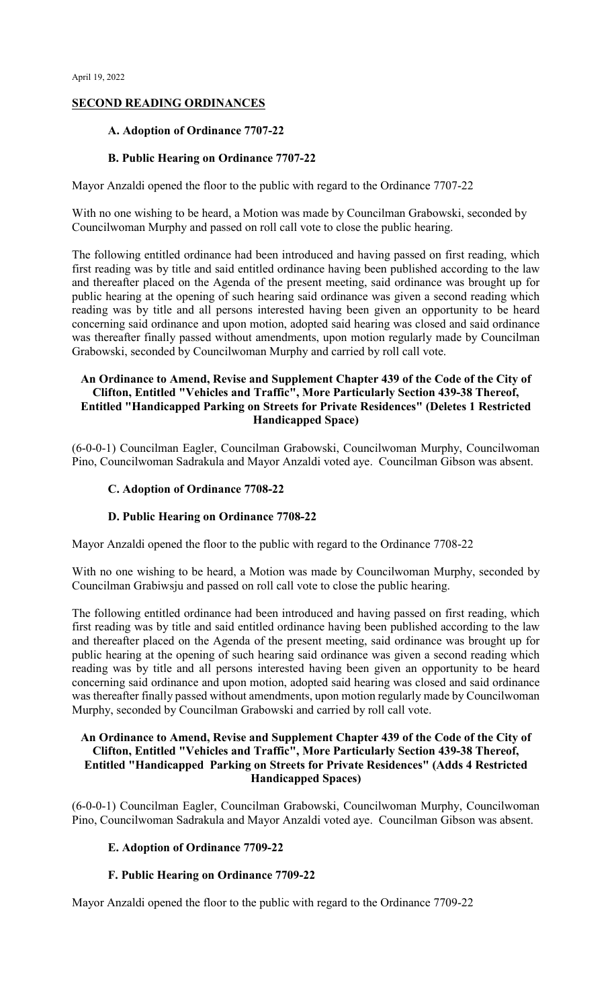# **SECOND READING ORDINANCES**

### **A. Adoption of Ordinance 7707-22**

### **B. Public Hearing on Ordinance 7707-22**

Mayor Anzaldi opened the floor to the public with regard to the Ordinance 7707-22

With no one wishing to be heard, a Motion was made by Councilman Grabowski, seconded by Councilwoman Murphy and passed on roll call vote to close the public hearing.

The following entitled ordinance had been introduced and having passed on first reading, which first reading was by title and said entitled ordinance having been published according to the law and thereafter placed on the Agenda of the present meeting, said ordinance was brought up for public hearing at the opening of such hearing said ordinance was given a second reading which reading was by title and all persons interested having been given an opportunity to be heard concerning said ordinance and upon motion, adopted said hearing was closed and said ordinance was thereafter finally passed without amendments, upon motion regularly made by Councilman Grabowski, seconded by Councilwoman Murphy and carried by roll call vote.

### **An Ordinance to Amend, Revise and Supplement Chapter 439 of the Code of the City of Clifton, Entitled "Vehicles and Traffic", More Particularly Section 439-38 Thereof, Entitled "Handicapped Parking on Streets for Private Residences" (Deletes 1 Restricted Handicapped Space)**

(6-0-0-1) Councilman Eagler, Councilman Grabowski, Councilwoman Murphy, Councilwoman Pino, Councilwoman Sadrakula and Mayor Anzaldi voted aye. Councilman Gibson was absent.

### **C. Adoption of Ordinance 7708-22**

### **D. Public Hearing on Ordinance 7708-22**

Mayor Anzaldi opened the floor to the public with regard to the Ordinance 7708-22

With no one wishing to be heard, a Motion was made by Councilwoman Murphy, seconded by Councilman Grabiwsju and passed on roll call vote to close the public hearing.

The following entitled ordinance had been introduced and having passed on first reading, which first reading was by title and said entitled ordinance having been published according to the law and thereafter placed on the Agenda of the present meeting, said ordinance was brought up for public hearing at the opening of such hearing said ordinance was given a second reading which reading was by title and all persons interested having been given an opportunity to be heard concerning said ordinance and upon motion, adopted said hearing was closed and said ordinance was thereafter finally passed without amendments, upon motion regularly made by Councilwoman Murphy, seconded by Councilman Grabowski and carried by roll call vote.

### **An Ordinance to Amend, Revise and Supplement Chapter 439 of the Code of the City of Clifton, Entitled "Vehicles and Traffic", More Particularly Section 439-38 Thereof, Entitled "Handicapped Parking on Streets for Private Residences" (Adds 4 Restricted Handicapped Spaces)**

(6-0-0-1) Councilman Eagler, Councilman Grabowski, Councilwoman Murphy, Councilwoman Pino, Councilwoman Sadrakula and Mayor Anzaldi voted aye. Councilman Gibson was absent.

### **E. Adoption of Ordinance 7709-22**

### **F. Public Hearing on Ordinance 7709-22**

Mayor Anzaldi opened the floor to the public with regard to the Ordinance 7709-22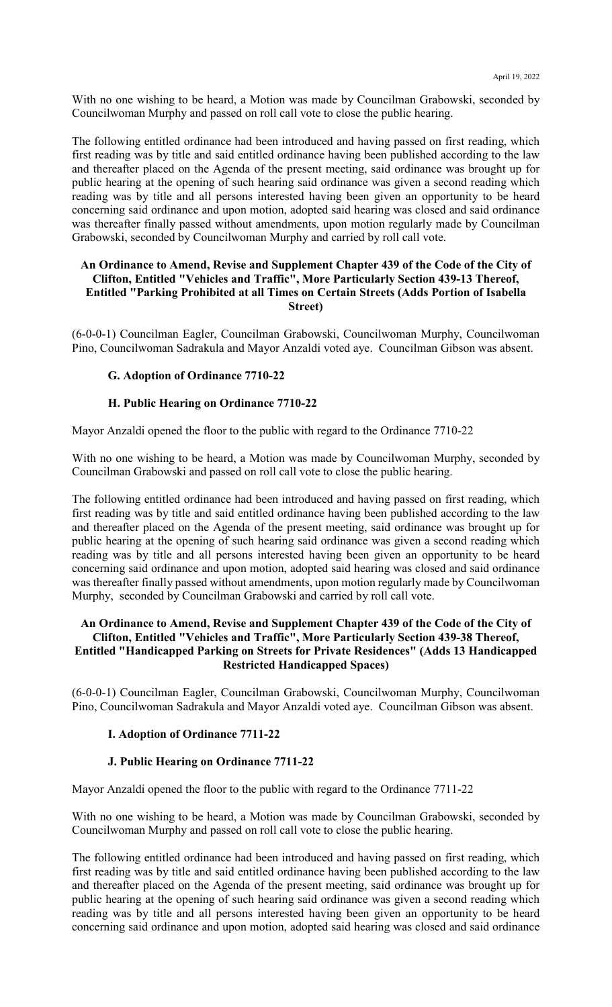With no one wishing to be heard, a Motion was made by Councilman Grabowski, seconded by Councilwoman Murphy and passed on roll call vote to close the public hearing.

The following entitled ordinance had been introduced and having passed on first reading, which first reading was by title and said entitled ordinance having been published according to the law and thereafter placed on the Agenda of the present meeting, said ordinance was brought up for public hearing at the opening of such hearing said ordinance was given a second reading which reading was by title and all persons interested having been given an opportunity to be heard concerning said ordinance and upon motion, adopted said hearing was closed and said ordinance was thereafter finally passed without amendments, upon motion regularly made by Councilman Grabowski, seconded by Councilwoman Murphy and carried by roll call vote.

### **An Ordinance to Amend, Revise and Supplement Chapter 439 of the Code of the City of Clifton, Entitled "Vehicles and Traffic", More Particularly Section 439-13 Thereof, Entitled "Parking Prohibited at all Times on Certain Streets (Adds Portion of Isabella Street)**

(6-0-0-1) Councilman Eagler, Councilman Grabowski, Councilwoman Murphy, Councilwoman Pino, Councilwoman Sadrakula and Mayor Anzaldi voted aye. Councilman Gibson was absent.

### **G. Adoption of Ordinance 7710-22**

### **H. Public Hearing on Ordinance 7710-22**

Mayor Anzaldi opened the floor to the public with regard to the Ordinance 7710-22

With no one wishing to be heard, a Motion was made by Councilwoman Murphy, seconded by Councilman Grabowski and passed on roll call vote to close the public hearing.

The following entitled ordinance had been introduced and having passed on first reading, which first reading was by title and said entitled ordinance having been published according to the law and thereafter placed on the Agenda of the present meeting, said ordinance was brought up for public hearing at the opening of such hearing said ordinance was given a second reading which reading was by title and all persons interested having been given an opportunity to be heard concerning said ordinance and upon motion, adopted said hearing was closed and said ordinance was thereafter finally passed without amendments, upon motion regularly made by Councilwoman Murphy, seconded by Councilman Grabowski and carried by roll call vote.

### **An Ordinance to Amend, Revise and Supplement Chapter 439 of the Code of the City of Clifton, Entitled "Vehicles and Traffic", More Particularly Section 439-38 Thereof, Entitled "Handicapped Parking on Streets for Private Residences" (Adds 13 Handicapped Restricted Handicapped Spaces)**

(6-0-0-1) Councilman Eagler, Councilman Grabowski, Councilwoman Murphy, Councilwoman Pino, Councilwoman Sadrakula and Mayor Anzaldi voted aye. Councilman Gibson was absent.

#### **I. Adoption of Ordinance 7711-22**

#### **J. Public Hearing on Ordinance 7711-22**

Mayor Anzaldi opened the floor to the public with regard to the Ordinance 7711-22

With no one wishing to be heard, a Motion was made by Councilman Grabowski, seconded by Councilwoman Murphy and passed on roll call vote to close the public hearing.

The following entitled ordinance had been introduced and having passed on first reading, which first reading was by title and said entitled ordinance having been published according to the law and thereafter placed on the Agenda of the present meeting, said ordinance was brought up for public hearing at the opening of such hearing said ordinance was given a second reading which reading was by title and all persons interested having been given an opportunity to be heard concerning said ordinance and upon motion, adopted said hearing was closed and said ordinance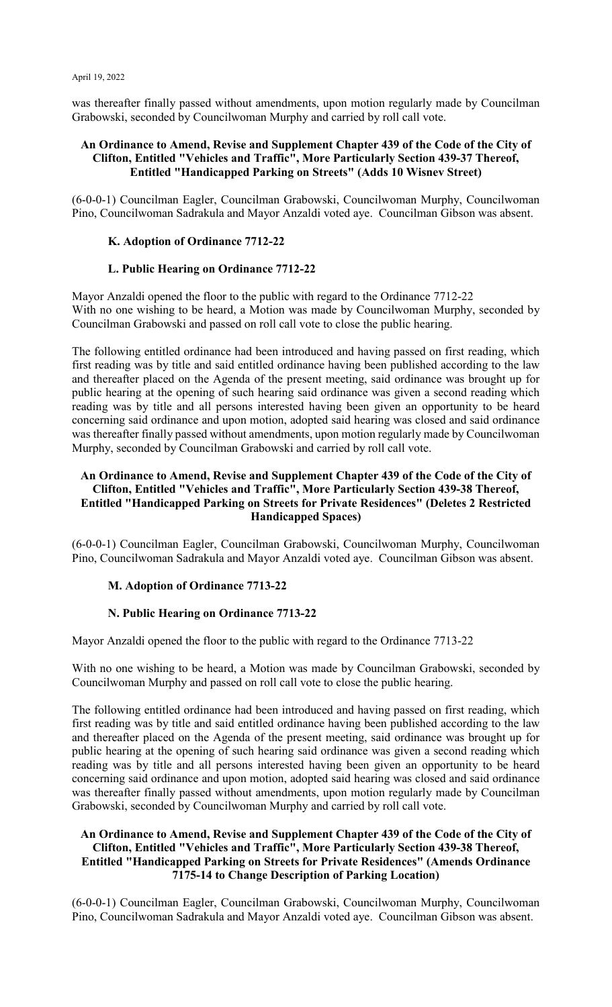was thereafter finally passed without amendments, upon motion regularly made by Councilman Grabowski, seconded by Councilwoman Murphy and carried by roll call vote.

### **An Ordinance to Amend, Revise and Supplement Chapter 439 of the Code of the City of Clifton, Entitled "Vehicles and Traffic", More Particularly Section 439-37 Thereof, Entitled "Handicapped Parking on Streets" (Adds 10 Wisnev Street)**

(6-0-0-1) Councilman Eagler, Councilman Grabowski, Councilwoman Murphy, Councilwoman Pino, Councilwoman Sadrakula and Mayor Anzaldi voted aye. Councilman Gibson was absent.

### **K. Adoption of Ordinance 7712-22**

### **L. Public Hearing on Ordinance 7712-22**

Mayor Anzaldi opened the floor to the public with regard to the Ordinance 7712-22 With no one wishing to be heard, a Motion was made by Councilwoman Murphy, seconded by Councilman Grabowski and passed on roll call vote to close the public hearing.

The following entitled ordinance had been introduced and having passed on first reading, which first reading was by title and said entitled ordinance having been published according to the law and thereafter placed on the Agenda of the present meeting, said ordinance was brought up for public hearing at the opening of such hearing said ordinance was given a second reading which reading was by title and all persons interested having been given an opportunity to be heard concerning said ordinance and upon motion, adopted said hearing was closed and said ordinance was thereafter finally passed without amendments, upon motion regularly made by Councilwoman Murphy, seconded by Councilman Grabowski and carried by roll call vote.

### **An Ordinance to Amend, Revise and Supplement Chapter 439 of the Code of the City of Clifton, Entitled "Vehicles and Traffic", More Particularly Section 439-38 Thereof, Entitled "Handicapped Parking on Streets for Private Residences" (Deletes 2 Restricted Handicapped Spaces)**

(6-0-0-1) Councilman Eagler, Councilman Grabowski, Councilwoman Murphy, Councilwoman Pino, Councilwoman Sadrakula and Mayor Anzaldi voted aye. Councilman Gibson was absent.

# **M. Adoption of Ordinance 7713-22**

### **N. Public Hearing on Ordinance 7713-22**

Mayor Anzaldi opened the floor to the public with regard to the Ordinance 7713-22

With no one wishing to be heard, a Motion was made by Councilman Grabowski, seconded by Councilwoman Murphy and passed on roll call vote to close the public hearing.

The following entitled ordinance had been introduced and having passed on first reading, which first reading was by title and said entitled ordinance having been published according to the law and thereafter placed on the Agenda of the present meeting, said ordinance was brought up for public hearing at the opening of such hearing said ordinance was given a second reading which reading was by title and all persons interested having been given an opportunity to be heard concerning said ordinance and upon motion, adopted said hearing was closed and said ordinance was thereafter finally passed without amendments, upon motion regularly made by Councilman Grabowski, seconded by Councilwoman Murphy and carried by roll call vote.

### **An Ordinance to Amend, Revise and Supplement Chapter 439 of the Code of the City of Clifton, Entitled "Vehicles and Traffic", More Particularly Section 439-38 Thereof, Entitled "Handicapped Parking on Streets for Private Residences" (Amends Ordinance 7175-14 to Change Description of Parking Location)**

(6-0-0-1) Councilman Eagler, Councilman Grabowski, Councilwoman Murphy, Councilwoman Pino, Councilwoman Sadrakula and Mayor Anzaldi voted aye. Councilman Gibson was absent.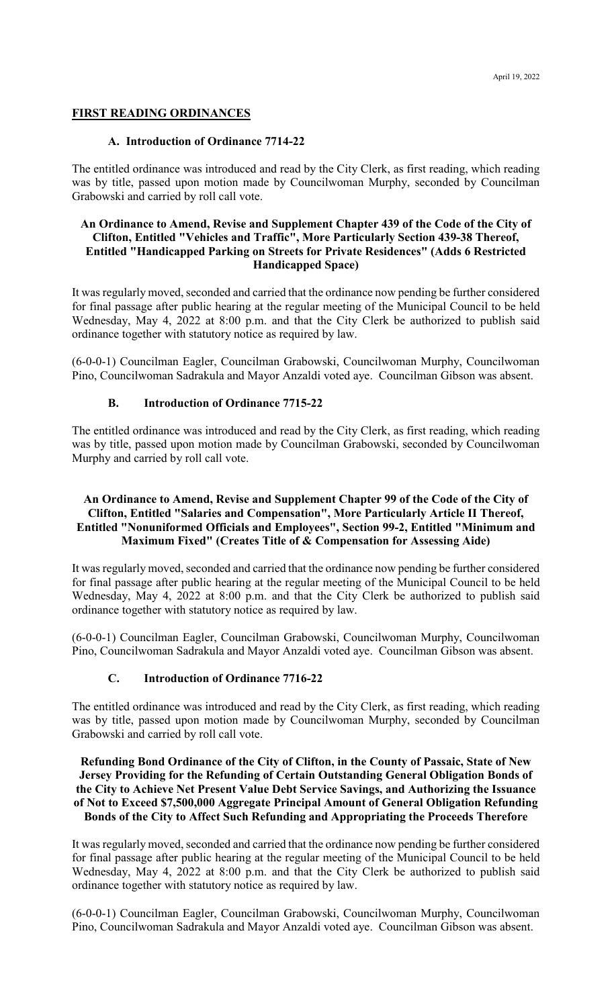### **FIRST READING ORDINANCES**

### **A. Introduction of Ordinance 7714-22**

The entitled ordinance was introduced and read by the City Clerk, as first reading, which reading was by title, passed upon motion made by Councilwoman Murphy, seconded by Councilman Grabowski and carried by roll call vote.

### **An Ordinance to Amend, Revise and Supplement Chapter 439 of the Code of the City of Clifton, Entitled "Vehicles and Traffic", More Particularly Section 439-38 Thereof, Entitled "Handicapped Parking on Streets for Private Residences" (Adds 6 Restricted Handicapped Space)**

It was regularly moved, seconded and carried that the ordinance now pending be further considered for final passage after public hearing at the regular meeting of the Municipal Council to be held Wednesday, May 4, 2022 at 8:00 p.m. and that the City Clerk be authorized to publish said ordinance together with statutory notice as required by law.

(6-0-0-1) Councilman Eagler, Councilman Grabowski, Councilwoman Murphy, Councilwoman Pino, Councilwoman Sadrakula and Mayor Anzaldi voted aye. Councilman Gibson was absent.

# **B. Introduction of Ordinance 7715-22**

The entitled ordinance was introduced and read by the City Clerk, as first reading, which reading was by title, passed upon motion made by Councilman Grabowski, seconded by Councilwoman Murphy and carried by roll call vote.

### **An Ordinance to Amend, Revise and Supplement Chapter 99 of the Code of the City of Clifton, Entitled "Salaries and Compensation", More Particularly Article II Thereof, Entitled "Nonuniformed Officials and Employees", Section 99-2, Entitled "Minimum and Maximum Fixed" (Creates Title of & Compensation for Assessing Aide)**

It was regularly moved, seconded and carried that the ordinance now pending be further considered for final passage after public hearing at the regular meeting of the Municipal Council to be held Wednesday, May 4, 2022 at 8:00 p.m. and that the City Clerk be authorized to publish said ordinance together with statutory notice as required by law.

(6-0-0-1) Councilman Eagler, Councilman Grabowski, Councilwoman Murphy, Councilwoman Pino, Councilwoman Sadrakula and Mayor Anzaldi voted aye. Councilman Gibson was absent.

# **C. Introduction of Ordinance 7716-22**

The entitled ordinance was introduced and read by the City Clerk, as first reading, which reading was by title, passed upon motion made by Councilwoman Murphy, seconded by Councilman Grabowski and carried by roll call vote.

### **Refunding Bond Ordinance of the City of Clifton, in the County of Passaic, State of New Jersey Providing for the Refunding of Certain Outstanding General Obligation Bonds of the City to Achieve Net Present Value Debt Service Savings, and Authorizing the Issuance of Not to Exceed \$7,500,000 Aggregate Principal Amount of General Obligation Refunding Bonds of the City to Affect Such Refunding and Appropriating the Proceeds Therefore**

It was regularly moved, seconded and carried that the ordinance now pending be further considered for final passage after public hearing at the regular meeting of the Municipal Council to be held Wednesday, May 4, 2022 at 8:00 p.m. and that the City Clerk be authorized to publish said ordinance together with statutory notice as required by law.

(6-0-0-1) Councilman Eagler, Councilman Grabowski, Councilwoman Murphy, Councilwoman Pino, Councilwoman Sadrakula and Mayor Anzaldi voted aye. Councilman Gibson was absent.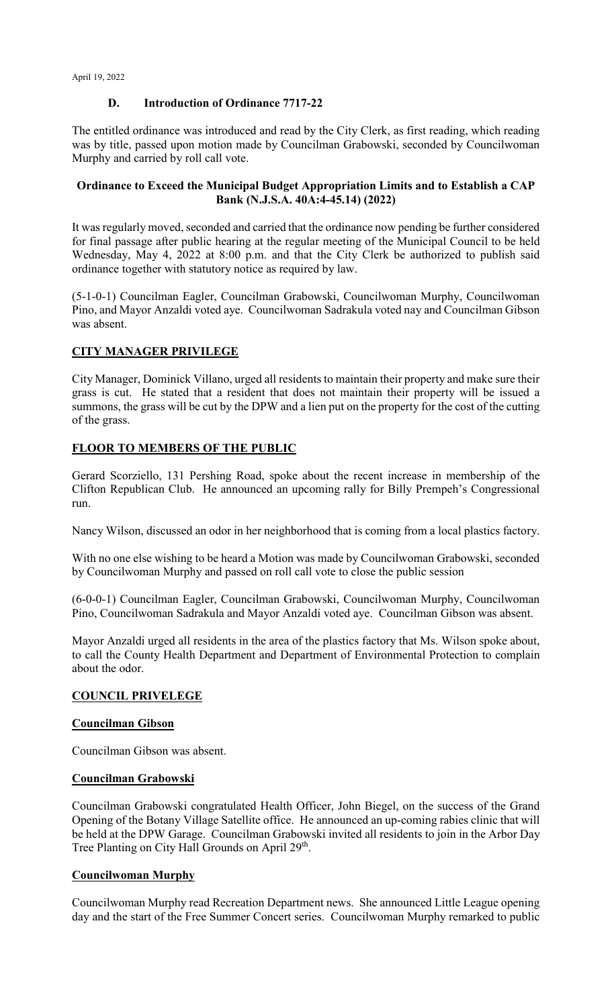# **D. Introduction of Ordinance 7717-22**

The entitled ordinance was introduced and read by the City Clerk, as first reading, which reading was by title, passed upon motion made by Councilman Grabowski, seconded by Councilwoman Murphy and carried by roll call vote.

# **Ordinance to Exceed the Municipal Budget Appropriation Limits and to Establish a CAP Bank (N.J.S.A. 40A:4-45.14) (2022)**

It was regularly moved, seconded and carried that the ordinance now pending be further considered for final passage after public hearing at the regular meeting of the Municipal Council to be held Wednesday, May 4, 2022 at 8:00 p.m. and that the City Clerk be authorized to publish said ordinance together with statutory notice as required by law.

(5-1-0-1) Councilman Eagler, Councilman Grabowski, Councilwoman Murphy, Councilwoman Pino, and Mayor Anzaldi voted aye. Councilwoman Sadrakula voted nay and Councilman Gibson was absent.

# **CITY MANAGER PRIVILEGE**

City Manager, Dominick Villano, urged all residents to maintain their property and make sure their grass is cut. He stated that a resident that does not maintain their property will be issued a summons, the grass will be cut by the DPW and a lien put on the property for the cost of the cutting of the grass.

# **FLOOR TO MEMBERS OF THE PUBLIC**

Gerard Scorziello, 131 Pershing Road, spoke about the recent increase in membership of the Clifton Republican Club. He announced an upcoming rally for Billy Prempeh's Congressional run.

Nancy Wilson, discussed an odor in her neighborhood that is coming from a local plastics factory.

With no one else wishing to be heard a Motion was made by Councilwoman Grabowski, seconded by Councilwoman Murphy and passed on roll call vote to close the public session

(6-0-0-1) Councilman Eagler, Councilman Grabowski, Councilwoman Murphy, Councilwoman Pino, Councilwoman Sadrakula and Mayor Anzaldi voted aye. Councilman Gibson was absent.

Mayor Anzaldi urged all residents in the area of the plastics factory that Ms. Wilson spoke about, to call the County Health Department and Department of Environmental Protection to complain about the odor.

# **COUNCIL PRIVELEGE**

# **Councilman Gibson**

Councilman Gibson was absent.

### **Councilman Grabowski**

Councilman Grabowski congratulated Health Officer, John Biegel, on the success of the Grand Opening of the Botany Village Satellite office. He announced an up-coming rabies clinic that will be held at the DPW Garage. Councilman Grabowski invited all residents to join in the Arbor Day Tree Planting on City Hall Grounds on April 29<sup>th</sup>.

# **Councilwoman Murphy**

Councilwoman Murphy read Recreation Department news. She announced Little League opening day and the start of the Free Summer Concert series. Councilwoman Murphy remarked to public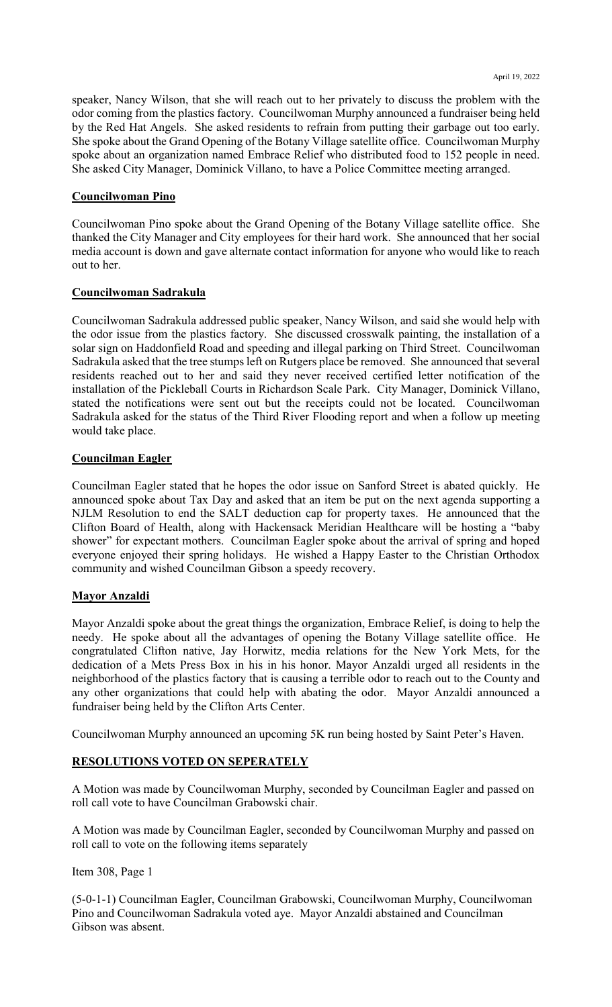speaker, Nancy Wilson, that she will reach out to her privately to discuss the problem with the odor coming from the plastics factory. Councilwoman Murphy announced a fundraiser being held by the Red Hat Angels. She asked residents to refrain from putting their garbage out too early. She spoke about the Grand Opening of the Botany Village satellite office. Councilwoman Murphy spoke about an organization named Embrace Relief who distributed food to 152 people in need. She asked City Manager, Dominick Villano, to have a Police Committee meeting arranged.

### **Councilwoman Pino**

Councilwoman Pino spoke about the Grand Opening of the Botany Village satellite office. She thanked the City Manager and City employees for their hard work. She announced that her social media account is down and gave alternate contact information for anyone who would like to reach out to her.

### **Councilwoman Sadrakula**

Councilwoman Sadrakula addressed public speaker, Nancy Wilson, and said she would help with the odor issue from the plastics factory. She discussed crosswalk painting, the installation of a solar sign on Haddonfield Road and speeding and illegal parking on Third Street. Councilwoman Sadrakula asked that the tree stumps left on Rutgers place be removed. She announced that several residents reached out to her and said they never received certified letter notification of the installation of the Pickleball Courts in Richardson Scale Park. City Manager, Dominick Villano, stated the notifications were sent out but the receipts could not be located. Councilwoman Sadrakula asked for the status of the Third River Flooding report and when a follow up meeting would take place.

### **Councilman Eagler**

Councilman Eagler stated that he hopes the odor issue on Sanford Street is abated quickly. He announced spoke about Tax Day and asked that an item be put on the next agenda supporting a NJLM Resolution to end the SALT deduction cap for property taxes. He announced that the Clifton Board of Health, along with Hackensack Meridian Healthcare will be hosting a "baby shower" for expectant mothers. Councilman Eagler spoke about the arrival of spring and hoped everyone enjoyed their spring holidays. He wished a Happy Easter to the Christian Orthodox community and wished Councilman Gibson a speedy recovery.

### **Mayor Anzaldi**

Mayor Anzaldi spoke about the great things the organization, Embrace Relief, is doing to help the needy. He spoke about all the advantages of opening the Botany Village satellite office. He congratulated Clifton native, Jay Horwitz, media relations for the New York Mets, for the dedication of a Mets Press Box in his in his honor. Mayor Anzaldi urged all residents in the neighborhood of the plastics factory that is causing a terrible odor to reach out to the County and any other organizations that could help with abating the odor. Mayor Anzaldi announced a fundraiser being held by the Clifton Arts Center.

Councilwoman Murphy announced an upcoming 5K run being hosted by Saint Peter's Haven.

### **RESOLUTIONS VOTED ON SEPERATELY**

A Motion was made by Councilwoman Murphy, seconded by Councilman Eagler and passed on roll call vote to have Councilman Grabowski chair.

A Motion was made by Councilman Eagler, seconded by Councilwoman Murphy and passed on roll call to vote on the following items separately

Item 308, Page 1

(5-0-1-1) Councilman Eagler, Councilman Grabowski, Councilwoman Murphy, Councilwoman Pino and Councilwoman Sadrakula voted aye. Mayor Anzaldi abstained and Councilman Gibson was absent.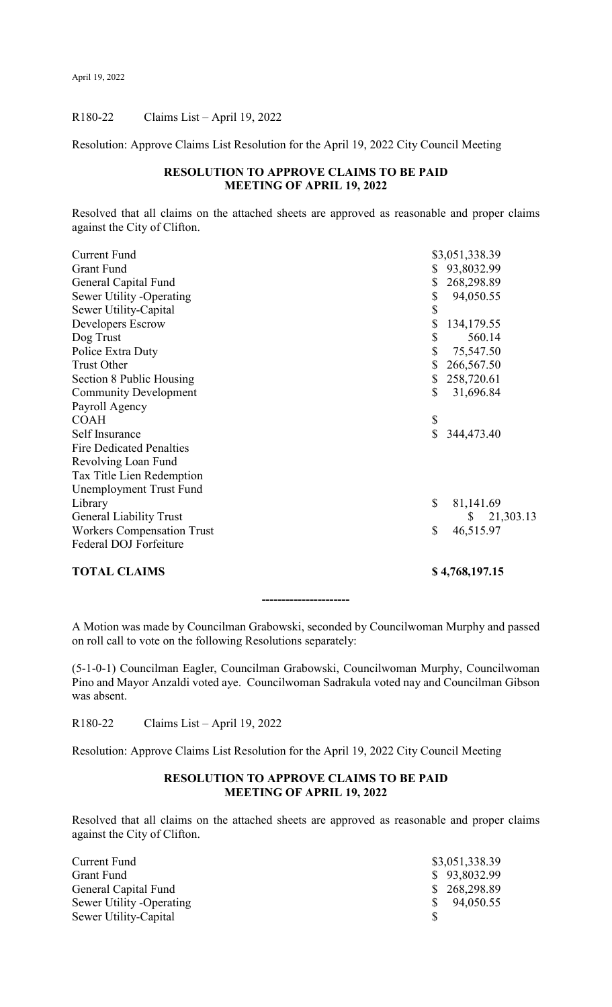# R180-22 Claims List – April 19, 2022

Resolution: Approve Claims List Resolution for the April 19, 2022 City Council Meeting

# **RESOLUTION TO APPROVE CLAIMS TO BE PAID MEETING OF APRIL 19, 2022**

Resolved that all claims on the attached sheets are approved as reasonable and proper claims against the City of Clifton.

| <b>TOTAL CLAIMS</b>               |                         | \$4,768,197.15  |
|-----------------------------------|-------------------------|-----------------|
| Federal DOJ Forfeiture            |                         |                 |
| <b>Workers Compensation Trust</b> | \$                      | 46,515.97       |
| <b>General Liability Trust</b>    |                         | 21,303.13<br>\$ |
| Library                           | \$                      | 81,141.69       |
| Unemployment Trust Fund           |                         |                 |
| Tax Title Lien Redemption         |                         |                 |
| Revolving Loan Fund               |                         |                 |
| <b>Fire Dedicated Penalties</b>   |                         |                 |
| Self Insurance                    | $\overline{\mathbf{S}}$ | 344,473.40      |
| <b>COAH</b>                       | \$                      |                 |
| Payroll Agency                    |                         |                 |
| <b>Community Development</b>      | \$                      | 31,696.84       |
| Section 8 Public Housing          | \$                      | 258,720.61      |
| <b>Trust Other</b>                | \$                      | 266,567.50      |
| Police Extra Duty                 | \$                      | 75,547.50       |
| Dog Trust                         | \$                      | 560.14          |
| Developers Escrow                 | \$                      | 134,179.55      |
| Sewer Utility-Capital             | \$                      |                 |
| Sewer Utility -Operating          | \$                      | 94,050.55       |
| General Capital Fund              |                         | 268,298.89      |
| <b>Grant Fund</b>                 | \$                      | 93,8032.99      |
| <b>Current Fund</b>               |                         | \$3,051,338.39  |

A Motion was made by Councilman Grabowski, seconded by Councilwoman Murphy and passed on roll call to vote on the following Resolutions separately:

**----------------------**

(5-1-0-1) Councilman Eagler, Councilman Grabowski, Councilwoman Murphy, Councilwoman Pino and Mayor Anzaldi voted aye. Councilwoman Sadrakula voted nay and Councilman Gibson was absent.

R180-22 Claims List – April 19, 2022

Resolution: Approve Claims List Resolution for the April 19, 2022 City Council Meeting

### **RESOLUTION TO APPROVE CLAIMS TO BE PAID MEETING OF APRIL 19, 2022**

Resolved that all claims on the attached sheets are approved as reasonable and proper claims against the City of Clifton.

| Current Fund              | \$3,051,338.39 |
|---------------------------|----------------|
| Grant Fund                | \$93,8032.99   |
| General Capital Fund      | \$268,298.89   |
| Sewer Utility - Operating | \$94,050.55    |
| Sewer Utility-Capital     |                |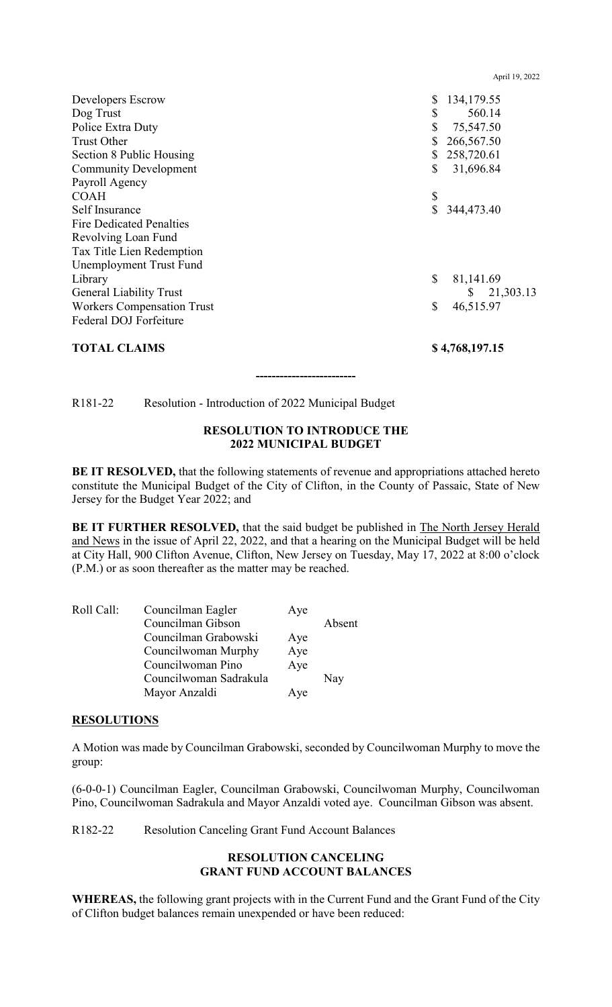| Developers Escrow                 | \$<br>134,179.55 |
|-----------------------------------|------------------|
| Dog Trust                         | \$<br>560.14     |
| Police Extra Duty                 | \$<br>75,547.50  |
| <b>Trust Other</b>                | 266,567.50       |
| Section 8 Public Housing          | 258,720.61       |
| <b>Community Development</b>      | \$<br>31,696.84  |
| Payroll Agency                    |                  |
| <b>COAH</b>                       | \$               |
| Self Insurance                    | \$<br>344,473.40 |
| <b>Fire Dedicated Penalties</b>   |                  |
| Revolving Loan Fund               |                  |
| Tax Title Lien Redemption         |                  |
| Unemployment Trust Fund           |                  |
| Library                           | \$<br>81,141.69  |
| <b>General Liability Trust</b>    | 21,303.13<br>S.  |
| <b>Workers Compensation Trust</b> | \$<br>46,515.97  |
| Federal DOJ Forfeiture            |                  |
| <b>TOTAL CLAIMS</b>               | \$4,768,197.15   |

April 19, 2022

R181-22 Resolution - Introduction of 2022 Municipal Budget

### **RESOLUTION TO INTRODUCE THE 2022 MUNICIPAL BUDGET**

**-------------------------**

**BE IT RESOLVED,** that the following statements of revenue and appropriations attached hereto constitute the Municipal Budget of the City of Clifton, in the County of Passaic, State of New Jersey for the Budget Year 2022; and

**BE IT FURTHER RESOLVED,** that the said budget be published in The North Jersey Herald and News in the issue of April 22, 2022, and that a hearing on the Municipal Budget will be held at City Hall, 900 Clifton Avenue, Clifton, New Jersey on Tuesday, May 17, 2022 at 8:00 o'clock (P.M.) or as soon thereafter as the matter may be reached.

| Roll Call: | Councilman Eagler      | Aye |        |
|------------|------------------------|-----|--------|
|            | Councilman Gibson      |     | Absent |
|            | Councilman Grabowski   | Aye |        |
|            | Councilwoman Murphy    | Aye |        |
|            | Councilwoman Pino      | Aye |        |
|            | Councilwoman Sadrakula |     | Nay    |
|            | Mayor Anzaldi          | Aye |        |

### **RESOLUTIONS**

A Motion was made by Councilman Grabowski, seconded by Councilwoman Murphy to move the group:

(6-0-0-1) Councilman Eagler, Councilman Grabowski, Councilwoman Murphy, Councilwoman Pino, Councilwoman Sadrakula and Mayor Anzaldi voted aye. Councilman Gibson was absent.

R182-22 Resolution Canceling Grant Fund Account Balances

### **RESOLUTION CANCELING GRANT FUND ACCOUNT BALANCES**

**WHEREAS,** the following grant projects with in the Current Fund and the Grant Fund of the City of Clifton budget balances remain unexpended or have been reduced: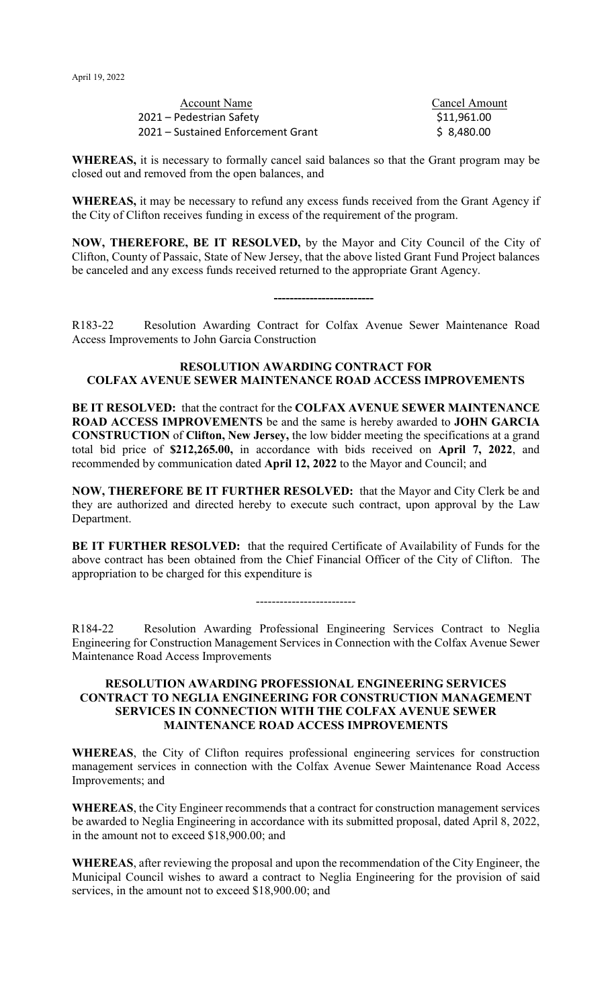| Account Name                       | <b>Cancel Amount</b> |
|------------------------------------|----------------------|
| 2021 – Pedestrian Safety           | \$11,961.00          |
| 2021 – Sustained Enforcement Grant | \$8,480.00           |

**WHEREAS,** it is necessary to formally cancel said balances so that the Grant program may be closed out and removed from the open balances, and

**WHEREAS,** it may be necessary to refund any excess funds received from the Grant Agency if the City of Clifton receives funding in excess of the requirement of the program.

**NOW, THEREFORE, BE IT RESOLVED,** by the Mayor and City Council of the City of Clifton, County of Passaic, State of New Jersey, that the above listed Grant Fund Project balances be canceled and any excess funds received returned to the appropriate Grant Agency.

**-------------------------**

R183-22 Resolution Awarding Contract for Colfax Avenue Sewer Maintenance Road Access Improvements to John Garcia Construction

### **RESOLUTION AWARDING CONTRACT FOR COLFAX AVENUE SEWER MAINTENANCE ROAD ACCESS IMPROVEMENTS**

**BE IT RESOLVED:** that the contract for the **COLFAX AVENUE SEWER MAINTENANCE ROAD ACCESS IMPROVEMENTS** be and the same is hereby awarded to **JOHN GARCIA CONSTRUCTION** of **Clifton, New Jersey,** the low bidder meeting the specifications at a grand total bid price of **\$212,265.00,** in accordance with bids received on **April 7, 2022**, and recommended by communication dated **April 12, 2022** to the Mayor and Council; and

**NOW, THEREFORE BE IT FURTHER RESOLVED:** that the Mayor and City Clerk be and they are authorized and directed hereby to execute such contract, upon approval by the Law Department.

**BE IT FURTHER RESOLVED:** that the required Certificate of Availability of Funds for the above contract has been obtained from the Chief Financial Officer of the City of Clifton. The appropriation to be charged for this expenditure is

-------------------------

R184-22 Resolution Awarding Professional Engineering Services Contract to Neglia Engineering for Construction Management Services in Connection with the Colfax Avenue Sewer Maintenance Road Access Improvements

### **RESOLUTION AWARDING PROFESSIONAL ENGINEERING SERVICES CONTRACT TO NEGLIA ENGINEERING FOR CONSTRUCTION MANAGEMENT SERVICES IN CONNECTION WITH THE COLFAX AVENUE SEWER MAINTENANCE ROAD ACCESS IMPROVEMENTS**

**WHEREAS**, the City of Clifton requires professional engineering services for construction management services in connection with the Colfax Avenue Sewer Maintenance Road Access Improvements; and

**WHEREAS**, the City Engineer recommends that a contract for construction management services be awarded to Neglia Engineering in accordance with its submitted proposal, dated April 8, 2022, in the amount not to exceed \$18,900.00; and

**WHEREAS**, after reviewing the proposal and upon the recommendation of the City Engineer, the Municipal Council wishes to award a contract to Neglia Engineering for the provision of said services, in the amount not to exceed \$18,900.00; and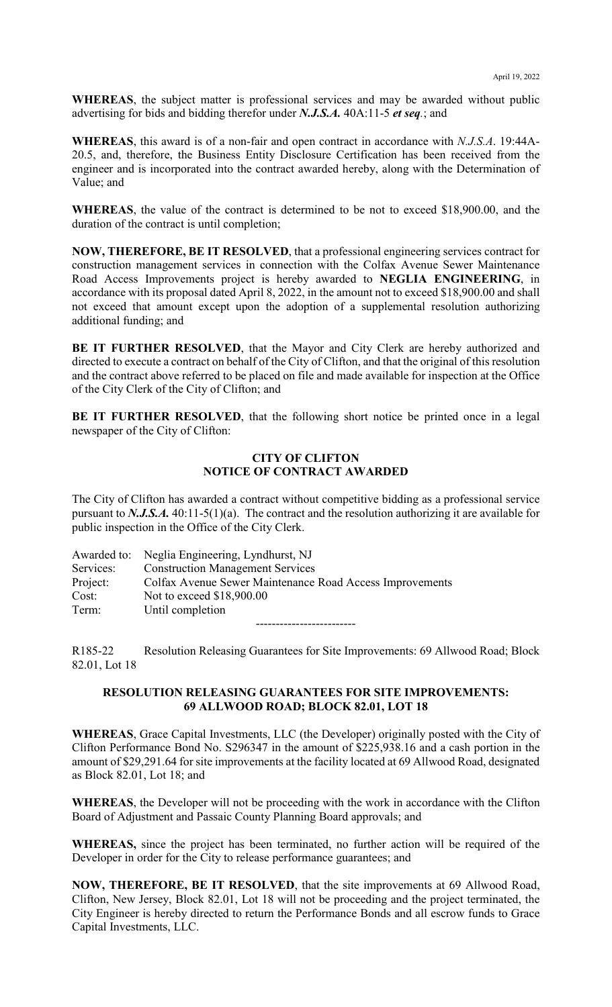**WHEREAS**, the subject matter is professional services and may be awarded without public advertising for bids and bidding therefor under *N.J.S.A.* 40A:11-5 *et seq.*; and

**WHEREAS**, this award is of a non-fair and open contract in accordance with *N.J.S.A*. 19:44A-20.5, and, therefore, the Business Entity Disclosure Certification has been received from the engineer and is incorporated into the contract awarded hereby, along with the Determination of Value; and

**WHEREAS**, the value of the contract is determined to be not to exceed \$18,900.00, and the duration of the contract is until completion;

**NOW, THEREFORE, BE IT RESOLVED**, that a professional engineering services contract for construction management services in connection with the Colfax Avenue Sewer Maintenance Road Access Improvements project is hereby awarded to **NEGLIA ENGINEERING**, in accordance with its proposal dated April 8, 2022, in the amount not to exceed \$18,900.00 and shall not exceed that amount except upon the adoption of a supplemental resolution authorizing additional funding; and

**BE IT FURTHER RESOLVED**, that the Mayor and City Clerk are hereby authorized and directed to execute a contract on behalf of the City of Clifton, and that the original of this resolution and the contract above referred to be placed on file and made available for inspection at the Office of the City Clerk of the City of Clifton; and

**BE IT FURTHER RESOLVED**, that the following short notice be printed once in a legal newspaper of the City of Clifton:

# **CITY OF CLIFTON NOTICE OF CONTRACT AWARDED**

The City of Clifton has awarded a contract without competitive bidding as a professional service pursuant to *N.J.S.A.* 40:11-5(1)(a). The contract and the resolution authorizing it are available for public inspection in the Office of the City Clerk.

|           | Awarded to: Neglia Engineering, Lyndhurst, NJ            |
|-----------|----------------------------------------------------------|
| Services: | <b>Construction Management Services</b>                  |
| Project:  | Colfax Avenue Sewer Maintenance Road Access Improvements |
| Cost:     | Not to exceed \$18,900.00                                |
| Term:     | Until completion                                         |
|           |                                                          |

R185-22 Resolution Releasing Guarantees for Site Improvements: 69 Allwood Road; Block 82.01, Lot 18

### **RESOLUTION RELEASING GUARANTEES FOR SITE IMPROVEMENTS: 69 ALLWOOD ROAD; BLOCK 82.01, LOT 18**

**WHEREAS**, Grace Capital Investments, LLC (the Developer) originally posted with the City of Clifton Performance Bond No. S296347 in the amount of \$225,938.16 and a cash portion in the amount of \$29,291.64 for site improvements at the facility located at 69 Allwood Road, designated as Block 82.01, Lot 18; and

**WHEREAS**, the Developer will not be proceeding with the work in accordance with the Clifton Board of Adjustment and Passaic County Planning Board approvals; and

**WHEREAS,** since the project has been terminated, no further action will be required of the Developer in order for the City to release performance guarantees; and

**NOW, THEREFORE, BE IT RESOLVED**, that the site improvements at 69 Allwood Road, Clifton, New Jersey, Block 82.01, Lot 18 will not be proceeding and the project terminated, the City Engineer is hereby directed to return the Performance Bonds and all escrow funds to Grace Capital Investments, LLC.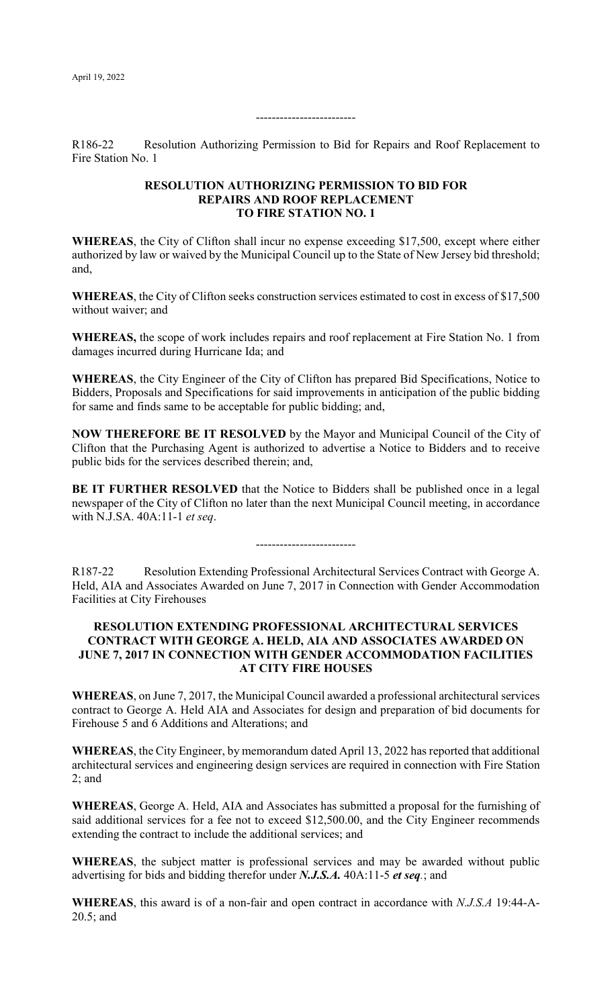#### $-$

R186-22 Resolution Authorizing Permission to Bid for Repairs and Roof Replacement to Fire Station No. 1

### **RESOLUTION AUTHORIZING PERMISSION TO BID FOR REPAIRS AND ROOF REPLACEMENT TO FIRE STATION NO. 1**

**WHEREAS**, the City of Clifton shall incur no expense exceeding \$17,500, except where either authorized by law or waived by the Municipal Council up to the State of New Jersey bid threshold; and,

**WHEREAS**, the City of Clifton seeks construction services estimated to cost in excess of \$17,500 without waiver; and

**WHEREAS,** the scope of work includes repairs and roof replacement at Fire Station No. 1 from damages incurred during Hurricane Ida; and

**WHEREAS**, the City Engineer of the City of Clifton has prepared Bid Specifications, Notice to Bidders, Proposals and Specifications for said improvements in anticipation of the public bidding for same and finds same to be acceptable for public bidding; and,

**NOW THEREFORE BE IT RESOLVED** by the Mayor and Municipal Council of the City of Clifton that the Purchasing Agent is authorized to advertise a Notice to Bidders and to receive public bids for the services described therein; and,

**BE IT FURTHER RESOLVED** that the Notice to Bidders shall be published once in a legal newspaper of the City of Clifton no later than the next Municipal Council meeting, in accordance with N.J.SA. 40A:11-1 *et seq*.

-------------------------

R187-22 Resolution Extending Professional Architectural Services Contract with George A. Held, AIA and Associates Awarded on June 7, 2017 in Connection with Gender Accommodation Facilities at City Firehouses

### **RESOLUTION EXTENDING PROFESSIONAL ARCHITECTURAL SERVICES CONTRACT WITH GEORGE A. HELD, AIA AND ASSOCIATES AWARDED ON JUNE 7, 2017 IN CONNECTION WITH GENDER ACCOMMODATION FACILITIES AT CITY FIRE HOUSES**

**WHEREAS**, on June 7, 2017, the Municipal Council awarded a professional architectural services contract to George A. Held AIA and Associates for design and preparation of bid documents for Firehouse 5 and 6 Additions and Alterations; and

**WHEREAS**, the City Engineer, by memorandum dated April 13, 2022 has reported that additional architectural services and engineering design services are required in connection with Fire Station 2; and

**WHEREAS**, George A. Held, AIA and Associates has submitted a proposal for the furnishing of said additional services for a fee not to exceed \$12,500.00, and the City Engineer recommends extending the contract to include the additional services; and

**WHEREAS**, the subject matter is professional services and may be awarded without public advertising for bids and bidding therefor under *N.J.S.A.* 40A:11-5 *et seq.*; and

**WHEREAS**, this award is of a non-fair and open contract in accordance with *N.J.S.A* 19:44-A-20.5; and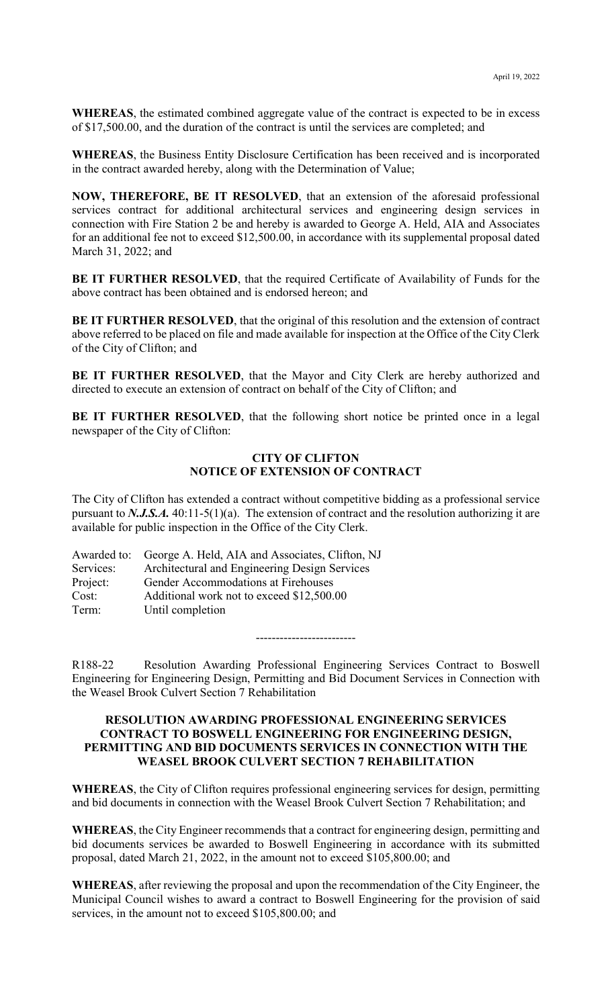**WHEREAS**, the estimated combined aggregate value of the contract is expected to be in excess of \$17,500.00, and the duration of the contract is until the services are completed; and

**WHEREAS**, the Business Entity Disclosure Certification has been received and is incorporated in the contract awarded hereby, along with the Determination of Value;

**NOW, THEREFORE, BE IT RESOLVED**, that an extension of the aforesaid professional services contract for additional architectural services and engineering design services in connection with Fire Station 2 be and hereby is awarded to George A. Held, AIA and Associates for an additional fee not to exceed \$12,500.00, in accordance with its supplemental proposal dated March 31, 2022; and

**BE IT FURTHER RESOLVED**, that the required Certificate of Availability of Funds for the above contract has been obtained and is endorsed hereon; and

**BE IT FURTHER RESOLVED**, that the original of this resolution and the extension of contract above referred to be placed on file and made available for inspection at the Office of the City Clerk of the City of Clifton; and

**BE IT FURTHER RESOLVED**, that the Mayor and City Clerk are hereby authorized and directed to execute an extension of contract on behalf of the City of Clifton; and

**BE IT FURTHER RESOLVED**, that the following short notice be printed once in a legal newspaper of the City of Clifton:

# **CITY OF CLIFTON NOTICE OF EXTENSION OF CONTRACT**

The City of Clifton has extended a contract without competitive bidding as a professional service pursuant to *N.J.S.A.* 40:11-5(1)(a). The extension of contract and the resolution authorizing it are available for public inspection in the Office of the City Clerk.

|           | Awarded to: George A. Held, AIA and Associates, Clifton, NJ |
|-----------|-------------------------------------------------------------|
| Services: | Architectural and Engineering Design Services               |
| Project:  | Gender Accommodations at Firehouses                         |
| Cost:     | Additional work not to exceed \$12,500.00                   |
| Term:     | Until completion                                            |

-------------------------

R188-22 Resolution Awarding Professional Engineering Services Contract to Boswell Engineering for Engineering Design, Permitting and Bid Document Services in Connection with the Weasel Brook Culvert Section 7 Rehabilitation

### **RESOLUTION AWARDING PROFESSIONAL ENGINEERING SERVICES CONTRACT TO BOSWELL ENGINEERING FOR ENGINEERING DESIGN, PERMITTING AND BID DOCUMENTS SERVICES IN CONNECTION WITH THE WEASEL BROOK CULVERT SECTION 7 REHABILITATION**

**WHEREAS**, the City of Clifton requires professional engineering services for design, permitting and bid documents in connection with the Weasel Brook Culvert Section 7 Rehabilitation; and

**WHEREAS**, the City Engineer recommends that a contract for engineering design, permitting and bid documents services be awarded to Boswell Engineering in accordance with its submitted proposal, dated March 21, 2022, in the amount not to exceed \$105,800.00; and

**WHEREAS**, after reviewing the proposal and upon the recommendation of the City Engineer, the Municipal Council wishes to award a contract to Boswell Engineering for the provision of said services, in the amount not to exceed \$105,800.00; and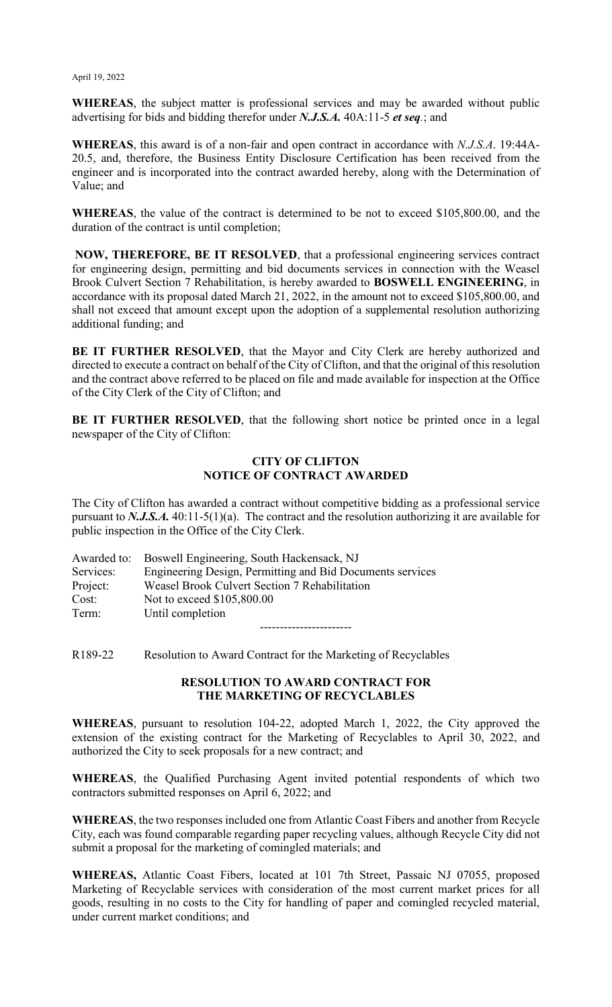**WHEREAS**, the subject matter is professional services and may be awarded without public advertising for bids and bidding therefor under *N.J.S.A.* 40A:11-5 *et seq.*; and

**WHEREAS**, this award is of a non-fair and open contract in accordance with *N.J.S.A*. 19:44A-20.5, and, therefore, the Business Entity Disclosure Certification has been received from the engineer and is incorporated into the contract awarded hereby, along with the Determination of Value; and

**WHEREAS**, the value of the contract is determined to be not to exceed \$105,800.00, and the duration of the contract is until completion;

**NOW, THEREFORE, BE IT RESOLVED**, that a professional engineering services contract for engineering design, permitting and bid documents services in connection with the Weasel Brook Culvert Section 7 Rehabilitation, is hereby awarded to **BOSWELL ENGINEERING**, in accordance with its proposal dated March 21, 2022, in the amount not to exceed \$105,800.00, and shall not exceed that amount except upon the adoption of a supplemental resolution authorizing additional funding; and

**BE IT FURTHER RESOLVED**, that the Mayor and City Clerk are hereby authorized and directed to execute a contract on behalf of the City of Clifton, and that the original of this resolution and the contract above referred to be placed on file and made available for inspection at the Office of the City Clerk of the City of Clifton; and

**BE IT FURTHER RESOLVED**, that the following short notice be printed once in a legal newspaper of the City of Clifton:

### **CITY OF CLIFTON NOTICE OF CONTRACT AWARDED**

The City of Clifton has awarded a contract without competitive bidding as a professional service pursuant to *N.J.S.A.* 40:11-5(1)(a). The contract and the resolution authorizing it are available for public inspection in the Office of the City Clerk.

|           | Awarded to: Boswell Engineering, South Hackensack, NJ     |
|-----------|-----------------------------------------------------------|
| Services: | Engineering Design, Permitting and Bid Documents services |
| Project:  | Weasel Brook Culvert Section 7 Rehabilitation             |
| Cost:     | Not to exceed \$105,800.00                                |
| Term:     | Until completion                                          |

R189-22 Resolution to Award Contract for the Marketing of Recyclables

### **RESOLUTION TO AWARD CONTRACT FOR THE MARKETING OF RECYCLABLES**

-----------------------

**WHEREAS**, pursuant to resolution 104-22, adopted March 1, 2022, the City approved the extension of the existing contract for the Marketing of Recyclables to April 30, 2022, and authorized the City to seek proposals for a new contract; and

**WHEREAS**, the Qualified Purchasing Agent invited potential respondents of which two contractors submitted responses on April 6, 2022; and

**WHEREAS**, the two responses included one from Atlantic Coast Fibers and another from Recycle City, each was found comparable regarding paper recycling values, although Recycle City did not submit a proposal for the marketing of comingled materials; and

**WHEREAS,** Atlantic Coast Fibers, located at 101 7th Street, Passaic NJ 07055, proposed Marketing of Recyclable services with consideration of the most current market prices for all goods, resulting in no costs to the City for handling of paper and comingled recycled material, under current market conditions; and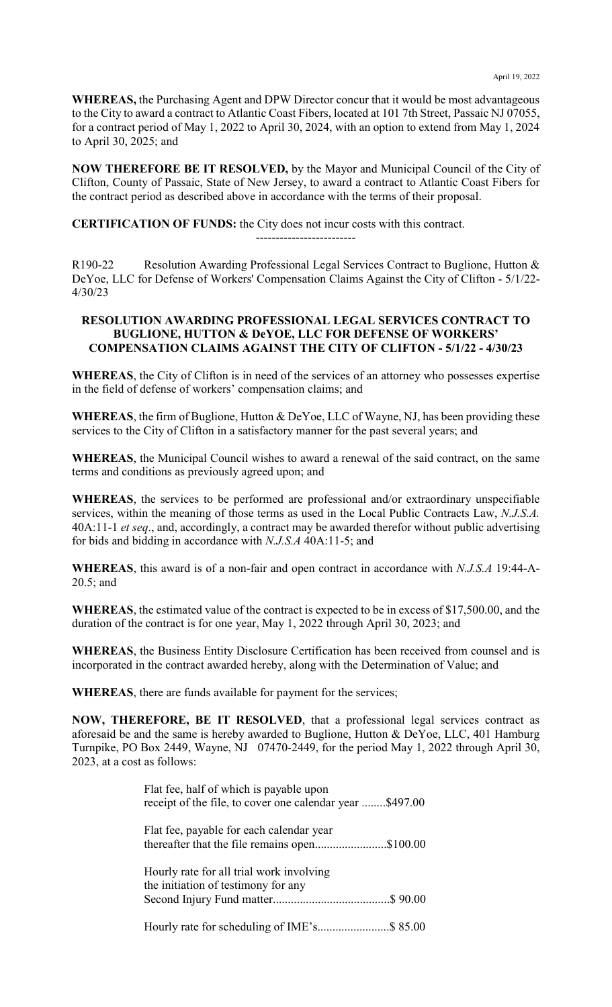**WHEREAS,** the Purchasing Agent and DPW Director concur that it would be most advantageous to the City to award a contract to Atlantic Coast Fibers, located at 101 7th Street, Passaic NJ 07055, for a contract period of May 1, 2022 to April 30, 2024, with an option to extend from May 1, 2024 to April 30, 2025; and

**NOW THEREFORE BE IT RESOLVED,** by the Mayor and Municipal Council of the City of Clifton, County of Passaic, State of New Jersey, to award a contract to Atlantic Coast Fibers for the contract period as described above in accordance with the terms of their proposal.

**CERTIFICATION OF FUNDS:** the City does not incur costs with this contract.

R190-22 Resolution Awarding Professional Legal Services Contract to Buglione, Hutton & DeYoe, LLC for Defense of Workers' Compensation Claims Against the City of Clifton - 5/1/22- 4/30/23

-------------------------

### **RESOLUTION AWARDING PROFESSIONAL LEGAL SERVICES CONTRACT TO BUGLIONE, HUTTON & DeYOE, LLC FOR DEFENSE OF WORKERS' COMPENSATION CLAIMS AGAINST THE CITY OF CLIFTON - 5/1/22 - 4/30/23**

**WHEREAS**, the City of Clifton is in need of the services of an attorney who possesses expertise in the field of defense of workers' compensation claims; and

**WHEREAS**, the firm of Buglione, Hutton & DeYoe, LLC of Wayne, NJ, has been providing these services to the City of Clifton in a satisfactory manner for the past several years; and

**WHEREAS**, the Municipal Council wishes to award a renewal of the said contract, on the same terms and conditions as previously agreed upon; and

**WHEREAS**, the services to be performed are professional and/or extraordinary unspecifiable services, within the meaning of those terms as used in the Local Public Contracts Law, *N.J.S.A.* 40A:11-1 *et seq*., and, accordingly, a contract may be awarded therefor without public advertising for bids and bidding in accordance with *N.J.S.A* 40A:11-5; and

**WHEREAS**, this award is of a non-fair and open contract in accordance with *N.J.S.A* 19:44-A-20.5; and

**WHEREAS**, the estimated value of the contract is expected to be in excess of \$17,500.00, and the duration of the contract is for one year, May 1, 2022 through April 30, 2023; and

**WHEREAS**, the Business Entity Disclosure Certification has been received from counsel and is incorporated in the contract awarded hereby, along with the Determination of Value; and

**WHEREAS**, there are funds available for payment for the services;

**NOW, THEREFORE, BE IT RESOLVED**, that a professional legal services contract as aforesaid be and the same is hereby awarded to Buglione, Hutton & DeYoe, LLC, 401 Hamburg Turnpike, PO Box 2449, Wayne, NJ 07470-2449, for the period May 1, 2022 through April 30, 2023, at a cost as follows:

| Flat fee, half of which is payable upon<br>receipt of the file, to cover one calendar year \$497.00 |  |
|-----------------------------------------------------------------------------------------------------|--|
| Flat fee, payable for each calendar year<br>thereafter that the file remains open\$100.00           |  |
| Hourly rate for all trial work involving<br>the initiation of testimony for any                     |  |
|                                                                                                     |  |
|                                                                                                     |  |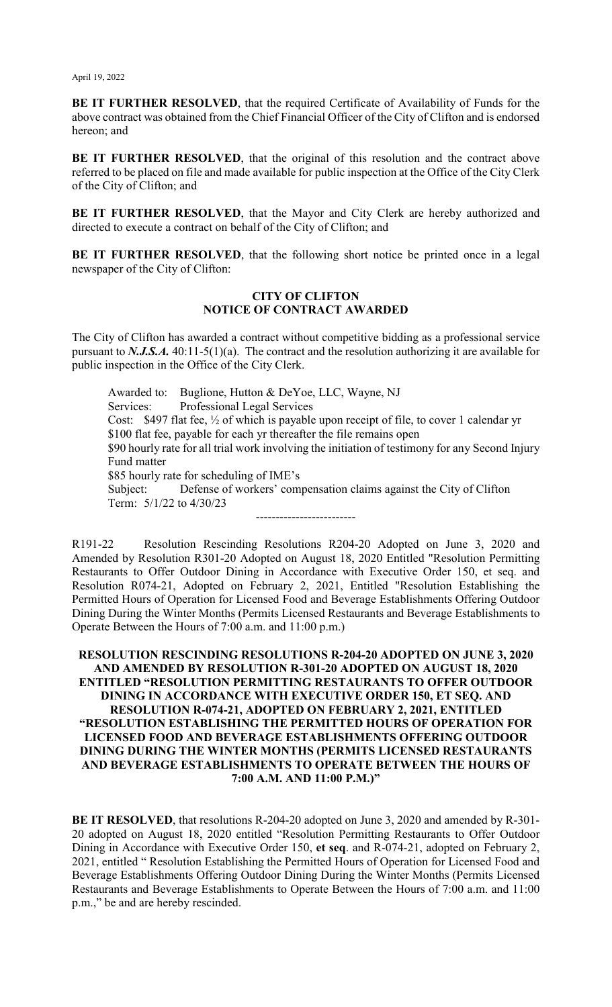**BE IT FURTHER RESOLVED**, that the required Certificate of Availability of Funds for the above contract was obtained from the Chief Financial Officer of the City of Clifton and is endorsed hereon; and

**BE IT FURTHER RESOLVED**, that the original of this resolution and the contract above referred to be placed on file and made available for public inspection at the Office of the City Clerk of the City of Clifton; and

**BE IT FURTHER RESOLVED**, that the Mayor and City Clerk are hereby authorized and directed to execute a contract on behalf of the City of Clifton; and

**BE IT FURTHER RESOLVED**, that the following short notice be printed once in a legal newspaper of the City of Clifton:

### **CITY OF CLIFTON NOTICE OF CONTRACT AWARDED**

The City of Clifton has awarded a contract without competitive bidding as a professional service pursuant to *N.J.S.A.* 40:11-5(1)(a). The contract and the resolution authorizing it are available for public inspection in the Office of the City Clerk.

Awarded to: Buglione, Hutton & DeYoe, LLC, Wayne, NJ Services: Professional Legal Services Cost: \$497 flat fee, ½ of which is payable upon receipt of file, to cover 1 calendar yr \$100 flat fee, payable for each yr thereafter the file remains open \$90 hourly rate for all trial work involving the initiation of testimony for any Second Injury Fund matter \$85 hourly rate for scheduling of IME's Subject: Defense of workers' compensation claims against the City of Clifton Term: 5/1/22 to 4/30/23 -------------------------

R191-22 Resolution Rescinding Resolutions R204-20 Adopted on June 3, 2020 and Amended by Resolution R301-20 Adopted on August 18, 2020 Entitled "Resolution Permitting Restaurants to Offer Outdoor Dining in Accordance with Executive Order 150, et seq. and Resolution R074-21, Adopted on February 2, 2021, Entitled "Resolution Establishing the Permitted Hours of Operation for Licensed Food and Beverage Establishments Offering Outdoor Dining During the Winter Months (Permits Licensed Restaurants and Beverage Establishments to Operate Between the Hours of 7:00 a.m. and 11:00 p.m.)

### **RESOLUTION RESCINDING RESOLUTIONS R-204-20 ADOPTED ON JUNE 3, 2020 AND AMENDED BY RESOLUTION R-301-20 ADOPTED ON AUGUST 18, 2020 ENTITLED "RESOLUTION PERMITTING RESTAURANTS TO OFFER OUTDOOR DINING IN ACCORDANCE WITH EXECUTIVE ORDER 150, ET SEQ. AND RESOLUTION R-074-21, ADOPTED ON FEBRUARY 2, 2021, ENTITLED "RESOLUTION ESTABLISHING THE PERMITTED HOURS OF OPERATION FOR LICENSED FOOD AND BEVERAGE ESTABLISHMENTS OFFERING OUTDOOR DINING DURING THE WINTER MONTHS (PERMITS LICENSED RESTAURANTS AND BEVERAGE ESTABLISHMENTS TO OPERATE BETWEEN THE HOURS OF 7:00 A.M. AND 11:00 P.M.)"**

**BE IT RESOLVED**, that resolutions R-204-20 adopted on June 3, 2020 and amended by R-301- 20 adopted on August 18, 2020 entitled "Resolution Permitting Restaurants to Offer Outdoor Dining in Accordance with Executive Order 150, **et seq**. and R-074-21, adopted on February 2, 2021, entitled " Resolution Establishing the Permitted Hours of Operation for Licensed Food and Beverage Establishments Offering Outdoor Dining During the Winter Months (Permits Licensed Restaurants and Beverage Establishments to Operate Between the Hours of 7:00 a.m. and 11:00 p.m.," be and are hereby rescinded.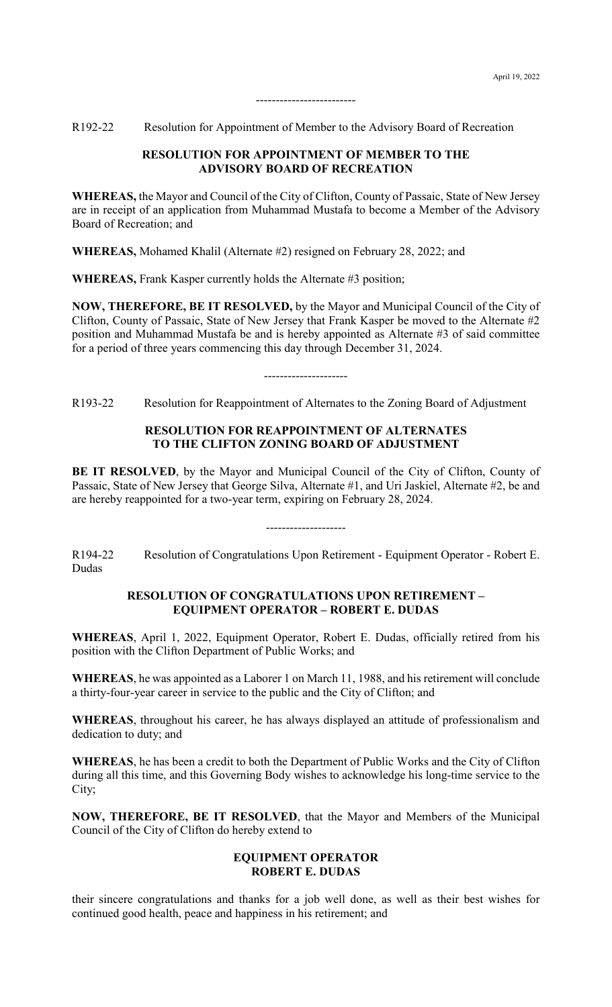R192-22 Resolution for Appointment of Member to the Advisory Board of Recreation

### **RESOLUTION FOR APPOINTMENT OF MEMBER TO THE ADVISORY BOARD OF RECREATION**

-------------------------

**WHEREAS,** the Mayor and Council of the City of Clifton, County of Passaic, State of New Jersey are in receipt of an application from Muhammad Mustafa to become a Member of the Advisory Board of Recreation; and

**WHEREAS,** Mohamed Khalil (Alternate #2) resigned on February 28, 2022; and

**WHEREAS,** Frank Kasper currently holds the Alternate #3 position;

**NOW, THEREFORE, BE IT RESOLVED,** by the Mayor and Municipal Council of the City of Clifton, County of Passaic, State of New Jersey that Frank Kasper be moved to the Alternate #2 position and Muhammad Mustafa be and is hereby appointed as Alternate #3 of said committee for a period of three years commencing this day through December 31, 2024.

---------------------

R193-22 Resolution for Reappointment of Alternates to the Zoning Board of Adjustment

### **RESOLUTION FOR REAPPOINTMENT OF ALTERNATES TO THE CLIFTON ZONING BOARD OF ADJUSTMENT**

BE IT RESOLVED, by the Mayor and Municipal Council of the City of Clifton, County of Passaic, State of New Jersey that George Silva, Alternate #1, and Uri Jaskiel, Alternate #2, be and are hereby reappointed for a two-year term, expiring on February 28, 2024.

R194-22 Resolution of Congratulations Upon Retirement - Equipment Operator - Robert E. Dudas

--------------------

### **RESOLUTION OF CONGRATULATIONS UPON RETIREMENT – EQUIPMENT OPERATOR – ROBERT E. DUDAS**

**WHEREAS**, April 1, 2022, Equipment Operator, Robert E. Dudas, officially retired from his position with the Clifton Department of Public Works; and

**WHEREAS**, he was appointed as a Laborer 1 on March 11, 1988, and his retirement will conclude a thirty-four-year career in service to the public and the City of Clifton; and

**WHEREAS**, throughout his career, he has always displayed an attitude of professionalism and dedication to duty; and

**WHEREAS**, he has been a credit to both the Department of Public Works and the City of Clifton during all this time, and this Governing Body wishes to acknowledge his long-time service to the City;

**NOW, THEREFORE, BE IT RESOLVED**, that the Mayor and Members of the Municipal Council of the City of Clifton do hereby extend to

### **EQUIPMENT OPERATOR ROBERT E. DUDAS**

their sincere congratulations and thanks for a job well done, as well as their best wishes for continued good health, peace and happiness in his retirement; and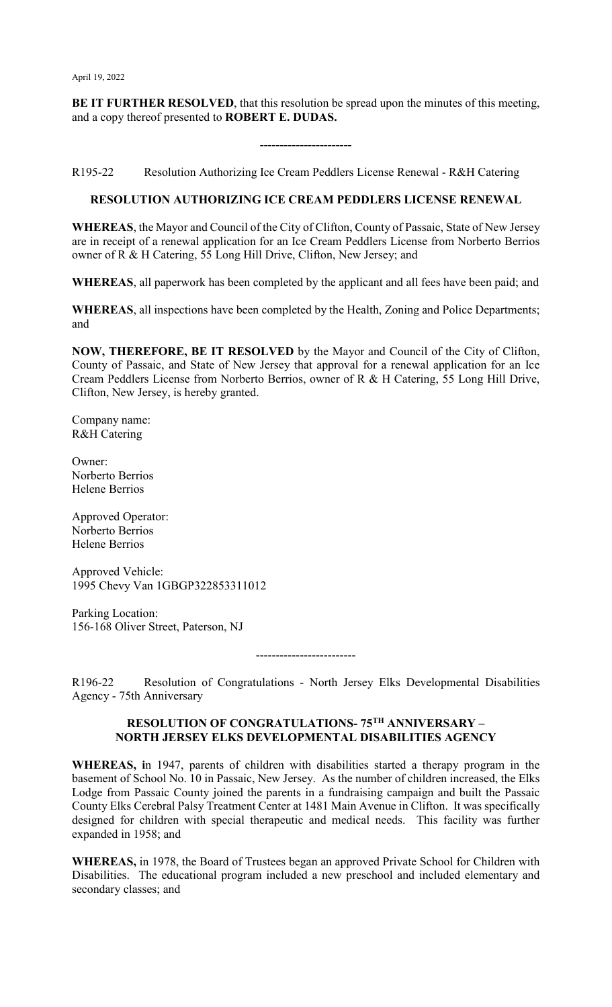**BE IT FURTHER RESOLVED**, that this resolution be spread upon the minutes of this meeting, and a copy thereof presented to **ROBERT E. DUDAS.**

**-----------------------**

R195-22 Resolution Authorizing Ice Cream Peddlers License Renewal - R&H Catering

# **RESOLUTION AUTHORIZING ICE CREAM PEDDLERS LICENSE RENEWAL**

**WHEREAS**, the Mayor and Council of the City of Clifton, County of Passaic, State of New Jersey are in receipt of a renewal application for an Ice Cream Peddlers License from Norberto Berrios owner of R & H Catering, 55 Long Hill Drive, Clifton, New Jersey; and

**WHEREAS**, all paperwork has been completed by the applicant and all fees have been paid; and

**WHEREAS**, all inspections have been completed by the Health, Zoning and Police Departments; and

**NOW, THEREFORE, BE IT RESOLVED** by the Mayor and Council of the City of Clifton, County of Passaic, and State of New Jersey that approval for a renewal application for an Ice Cream Peddlers License from Norberto Berrios, owner of R & H Catering, 55 Long Hill Drive, Clifton, New Jersey, is hereby granted.

Company name: R&H Catering

Owner: Norberto Berrios Helene Berrios

Approved Operator: Norberto Berrios Helene Berrios

Approved Vehicle: 1995 Chevy Van 1GBGP322853311012

Parking Location: 156-168 Oliver Street, Paterson, NJ

-------------------------

R196-22 Resolution of Congratulations - North Jersey Elks Developmental Disabilities Agency - 75th Anniversary

## **RESOLUTION OF CONGRATULATIONS- 75TH ANNIVERSARY – NORTH JERSEY ELKS DEVELOPMENTAL DISABILITIES AGENCY**

**WHEREAS, i**n 1947, parents of children with disabilities started a therapy program in the basement of School No. 10 in Passaic, New Jersey. As the number of children increased, the Elks Lodge from Passaic County joined the parents in a fundraising campaign and built the Passaic County Elks Cerebral Palsy Treatment Center at 1481 Main Avenue in Clifton. It was specifically designed for children with special therapeutic and medical needs. This facility was further expanded in 1958; and

**WHEREAS,** in 1978, the Board of Trustees began an approved Private School for Children with Disabilities. The educational program included a new preschool and included elementary and secondary classes; and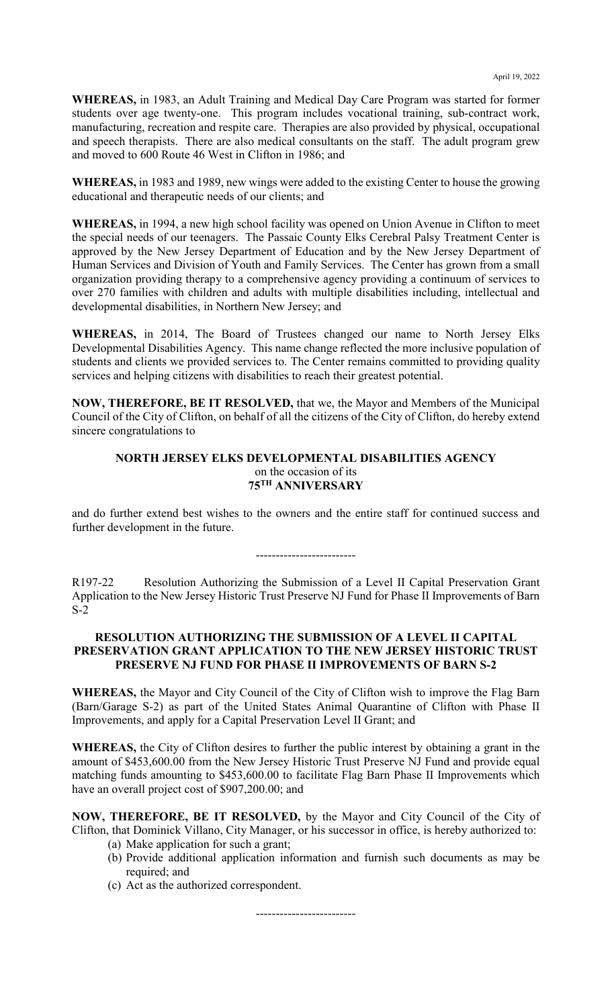**WHEREAS,** in 1983, an Adult Training and Medical Day Care Program was started for former students over age twenty-one. This program includes vocational training, sub-contract work, manufacturing, recreation and respite care. Therapies are also provided by physical, occupational and speech therapists. There are also medical consultants on the staff. The adult program grew and moved to 600 Route 46 West in Clifton in 1986; and

**WHEREAS,** in 1983 and 1989, new wings were added to the existing Center to house the growing educational and therapeutic needs of our clients; and

**WHEREAS,** in 1994, a new high school facility was opened on Union Avenue in Clifton to meet the special needs of our teenagers. The Passaic County Elks Cerebral Palsy Treatment Center is approved by the New Jersey Department of Education and by the New Jersey Department of Human Services and Division of Youth and Family Services. The Center has grown from a small organization providing therapy to a comprehensive agency providing a continuum of services to over 270 families with children and adults with multiple disabilities including, intellectual and developmental disabilities, in Northern New Jersey; and

**WHEREAS,** in 2014, The Board of Trustees changed our name to North Jersey Elks Developmental Disabilities Agency. This name change reflected the more inclusive population of students and clients we provided services to. The Center remains committed to providing quality services and helping citizens with disabilities to reach their greatest potential.

**NOW, THEREFORE, BE IT RESOLVED,** that we, the Mayor and Members of the Municipal Council of the City of Clifton, on behalf of all the citizens of the City of Clifton, do hereby extend sincere congratulations to

### **NORTH JERSEY ELKS DEVELOPMENTAL DISABILITIES AGENCY** on the occasion of its **75TH ANNIVERSARY**

and do further extend best wishes to the owners and the entire staff for continued success and further development in the future.

-------------------------

R197-22 Resolution Authorizing the Submission of a Level II Capital Preservation Grant Application to the New Jersey Historic Trust Preserve NJ Fund for Phase II Improvements of Barn S-2

### **RESOLUTION AUTHORIZING THE SUBMISSION OF A LEVEL II CAPITAL PRESERVATION GRANT APPLICATION TO THE NEW JERSEY HISTORIC TRUST PRESERVE NJ FUND FOR PHASE II IMPROVEMENTS OF BARN S-2**

**WHEREAS,** the Mayor and City Council of the City of Clifton wish to improve the Flag Barn (Barn/Garage S-2) as part of the United States Animal Quarantine of Clifton with Phase II Improvements, and apply for a Capital Preservation Level II Grant; and

**WHEREAS,** the City of Clifton desires to further the public interest by obtaining a grant in the amount of \$453,600.00 from the New Jersey Historic Trust Preserve NJ Fund and provide equal matching funds amounting to \$453,600.00 to facilitate Flag Barn Phase II Improvements which have an overall project cost of \$907,200.00; and

**NOW, THEREFORE, BE IT RESOLVED,** by the Mayor and City Council of the City of Clifton, that Dominick Villano, City Manager, or his successor in office, is hereby authorized to:

- (a) Make application for such a grant;
- (b) Provide additional application information and furnish such documents as may be required; and
- (c) Act as the authorized correspondent.

-------------------------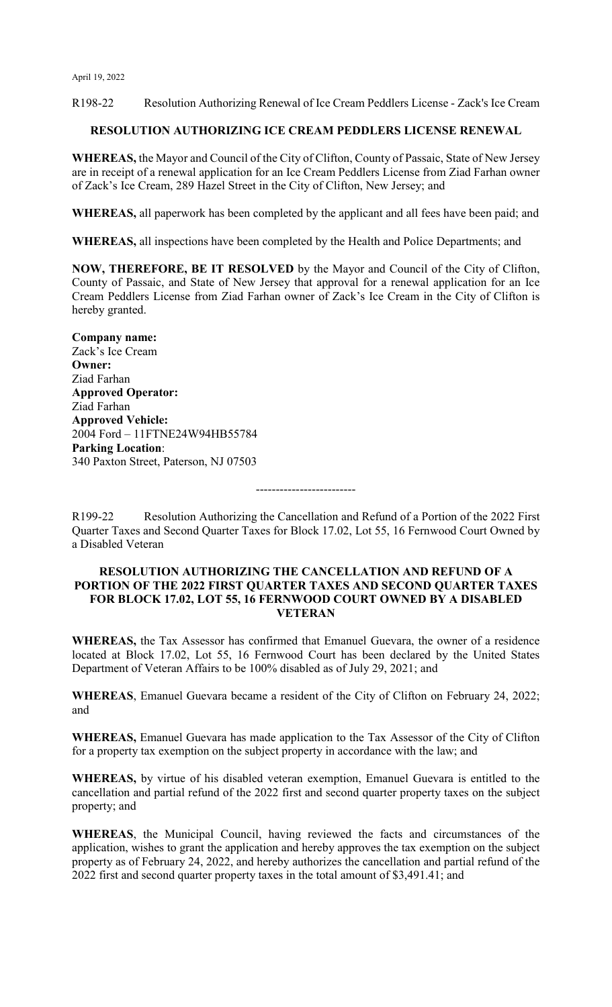R198-22 Resolution Authorizing Renewal of Ice Cream Peddlers License - Zack's Ice Cream

### **RESOLUTION AUTHORIZING ICE CREAM PEDDLERS LICENSE RENEWAL**

**WHEREAS,** the Mayor and Council of the City of Clifton, County of Passaic, State of New Jersey are in receipt of a renewal application for an Ice Cream Peddlers License from Ziad Farhan owner of Zack's Ice Cream, 289 Hazel Street in the City of Clifton, New Jersey; and

**WHEREAS,** all paperwork has been completed by the applicant and all fees have been paid; and

**WHEREAS,** all inspections have been completed by the Health and Police Departments; and

**NOW, THEREFORE, BE IT RESOLVED** by the Mayor and Council of the City of Clifton, County of Passaic, and State of New Jersey that approval for a renewal application for an Ice Cream Peddlers License from Ziad Farhan owner of Zack's Ice Cream in the City of Clifton is hereby granted.

**Company name:** Zack's Ice Cream **Owner:** Ziad Farhan **Approved Operator:**  Ziad Farhan **Approved Vehicle:** 2004 Ford – 11FTNE24W94HB55784 **Parking Location**: 340 Paxton Street, Paterson, NJ 07503

R199-22 Resolution Authorizing the Cancellation and Refund of a Portion of the 2022 First Quarter Taxes and Second Quarter Taxes for Block 17.02, Lot 55, 16 Fernwood Court Owned by a Disabled Veteran

-------------------------

### **RESOLUTION AUTHORIZING THE CANCELLATION AND REFUND OF A PORTION OF THE 2022 FIRST QUARTER TAXES AND SECOND QUARTER TAXES FOR BLOCK 17.02, LOT 55, 16 FERNWOOD COURT OWNED BY A DISABLED VETERAN**

**WHEREAS,** the Tax Assessor has confirmed that Emanuel Guevara, the owner of a residence located at Block 17.02, Lot 55, 16 Fernwood Court has been declared by the United States Department of Veteran Affairs to be 100% disabled as of July 29, 2021; and

**WHEREAS**, Emanuel Guevara became a resident of the City of Clifton on February 24, 2022; and

**WHEREAS,** Emanuel Guevara has made application to the Tax Assessor of the City of Clifton for a property tax exemption on the subject property in accordance with the law; and

**WHEREAS,** by virtue of his disabled veteran exemption, Emanuel Guevara is entitled to the cancellation and partial refund of the 2022 first and second quarter property taxes on the subject property; and

**WHEREAS**, the Municipal Council, having reviewed the facts and circumstances of the application, wishes to grant the application and hereby approves the tax exemption on the subject property as of February 24, 2022, and hereby authorizes the cancellation and partial refund of the 2022 first and second quarter property taxes in the total amount of \$3,491.41; and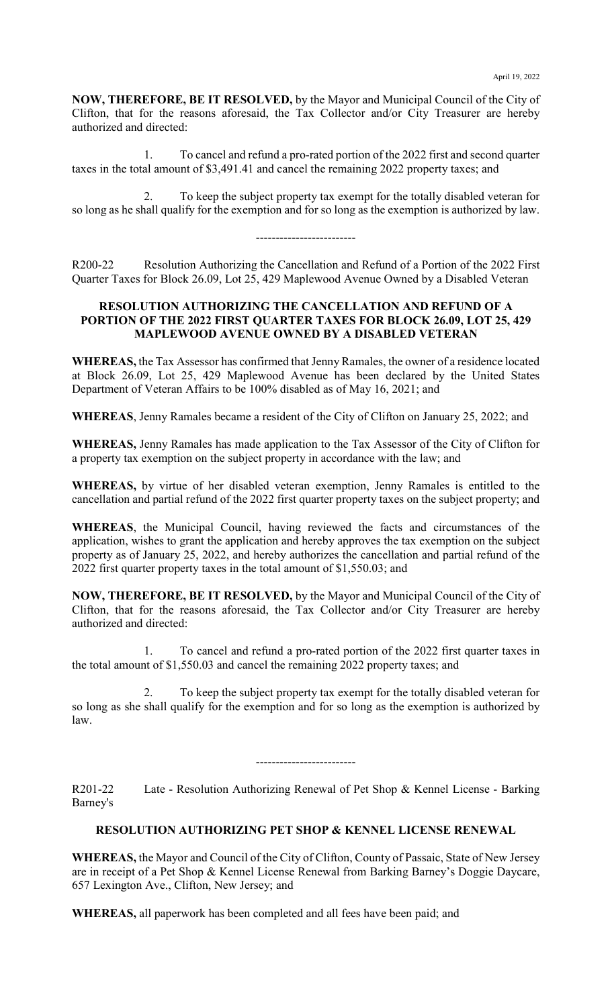**NOW, THEREFORE, BE IT RESOLVED,** by the Mayor and Municipal Council of the City of Clifton, that for the reasons aforesaid, the Tax Collector and/or City Treasurer are hereby authorized and directed:

1. To cancel and refund a pro-rated portion of the 2022 first and second quarter taxes in the total amount of \$3,491.41 and cancel the remaining 2022 property taxes; and

2. To keep the subject property tax exempt for the totally disabled veteran for so long as he shall qualify for the exemption and for so long as the exemption is authorized by law.

R200-22 Resolution Authorizing the Cancellation and Refund of a Portion of the 2022 First Quarter Taxes for Block 26.09, Lot 25, 429 Maplewood Avenue Owned by a Disabled Veteran

-------------------------

## **RESOLUTION AUTHORIZING THE CANCELLATION AND REFUND OF A PORTION OF THE 2022 FIRST QUARTER TAXES FOR BLOCK 26.09, LOT 25, 429 MAPLEWOOD AVENUE OWNED BY A DISABLED VETERAN**

**WHEREAS,** the Tax Assessor has confirmed that Jenny Ramales, the owner of a residence located at Block 26.09, Lot 25, 429 Maplewood Avenue has been declared by the United States Department of Veteran Affairs to be 100% disabled as of May 16, 2021; and

**WHEREAS**, Jenny Ramales became a resident of the City of Clifton on January 25, 2022; and

**WHEREAS,** Jenny Ramales has made application to the Tax Assessor of the City of Clifton for a property tax exemption on the subject property in accordance with the law; and

**WHEREAS,** by virtue of her disabled veteran exemption, Jenny Ramales is entitled to the cancellation and partial refund of the 2022 first quarter property taxes on the subject property; and

**WHEREAS**, the Municipal Council, having reviewed the facts and circumstances of the application, wishes to grant the application and hereby approves the tax exemption on the subject property as of January 25, 2022, and hereby authorizes the cancellation and partial refund of the 2022 first quarter property taxes in the total amount of \$1,550.03; and

**NOW, THEREFORE, BE IT RESOLVED,** by the Mayor and Municipal Council of the City of Clifton, that for the reasons aforesaid, the Tax Collector and/or City Treasurer are hereby authorized and directed:

1. To cancel and refund a pro-rated portion of the 2022 first quarter taxes in the total amount of \$1,550.03 and cancel the remaining 2022 property taxes; and

2. To keep the subject property tax exempt for the totally disabled veteran for so long as she shall qualify for the exemption and for so long as the exemption is authorized by law.

-------------------------

R201-22 Late - Resolution Authorizing Renewal of Pet Shop & Kennel License - Barking Barney's

# **RESOLUTION AUTHORIZING PET SHOP & KENNEL LICENSE RENEWAL**

**WHEREAS,** the Mayor and Council of the City of Clifton, County of Passaic, State of New Jersey are in receipt of a Pet Shop & Kennel License Renewal from Barking Barney's Doggie Daycare, 657 Lexington Ave., Clifton, New Jersey; and

**WHEREAS,** all paperwork has been completed and all fees have been paid; and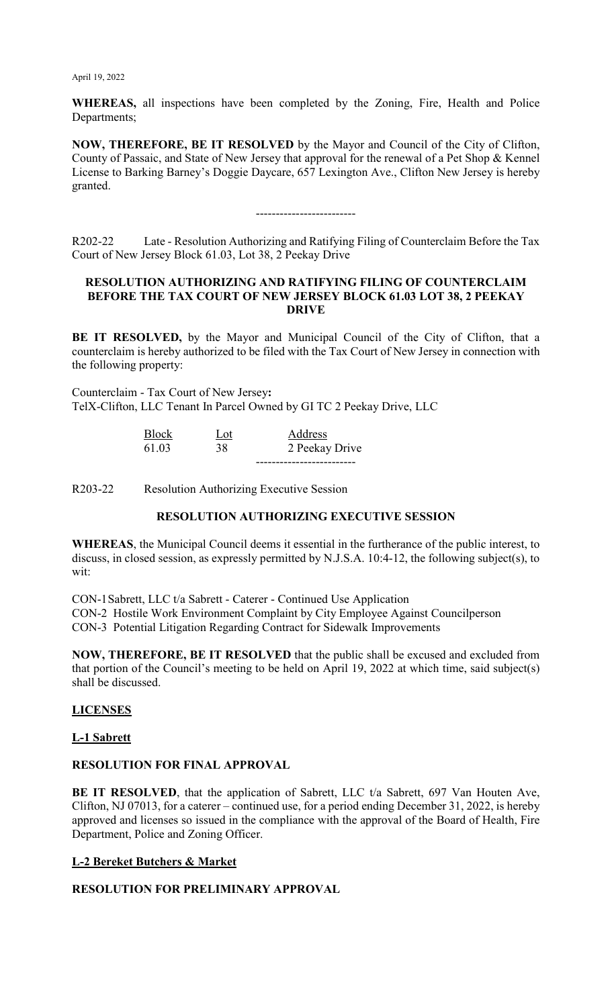**WHEREAS,** all inspections have been completed by the Zoning, Fire, Health and Police Departments;

**NOW, THEREFORE, BE IT RESOLVED** by the Mayor and Council of the City of Clifton, County of Passaic, and State of New Jersey that approval for the renewal of a Pet Shop & Kennel License to Barking Barney's Doggie Daycare, 657 Lexington Ave., Clifton New Jersey is hereby granted.

# -------------------------

R202-22 Late - Resolution Authorizing and Ratifying Filing of Counterclaim Before the Tax Court of New Jersey Block 61.03, Lot 38, 2 Peekay Drive

#### **RESOLUTION AUTHORIZING AND RATIFYING FILING OF COUNTERCLAIM BEFORE THE TAX COURT OF NEW JERSEY BLOCK 61.03 LOT 38, 2 PEEKAY DRIVE**

**BE IT RESOLVED,** by the Mayor and Municipal Council of the City of Clifton, that a counterclaim is hereby authorized to be filed with the Tax Court of New Jersey in connection with the following property:

Counterclaim - Tax Court of New Jersey**:** TelX-Clifton, LLC Tenant In Parcel Owned by GI TC 2 Peekay Drive, LLC

| <b>Block</b> | Lot | Address        |
|--------------|-----|----------------|
| 61.03        | 38  | 2 Peekay Drive |
|              |     |                |

R203-22 Resolution Authorizing Executive Session

### **RESOLUTION AUTHORIZING EXECUTIVE SESSION**

**WHEREAS**, the Municipal Council deems it essential in the furtherance of the public interest, to discuss, in closed session, as expressly permitted by N.J.S.A. 10:4-12, the following subject(s), to wit:

CON-1Sabrett, LLC t/a Sabrett - Caterer - Continued Use Application CON-2 Hostile Work Environment Complaint by City Employee Against Councilperson CON-3 Potential Litigation Regarding Contract for Sidewalk Improvements

**NOW, THEREFORE, BE IT RESOLVED** that the public shall be excused and excluded from that portion of the Council's meeting to be held on April 19, 2022 at which time, said subject(s) shall be discussed.

### **LICENSES**

### **L-1 Sabrett**

### **RESOLUTION FOR FINAL APPROVAL**

**BE IT RESOLVED**, that the application of Sabrett, LLC t/a Sabrett, 697 Van Houten Ave, Clifton, NJ 07013, for a caterer – continued use, for a period ending December 31, 2022, is hereby approved and licenses so issued in the compliance with the approval of the Board of Health, Fire Department, Police and Zoning Officer.

### **L-2 Bereket Butchers & Market**

### **RESOLUTION FOR PRELIMINARY APPROVAL**